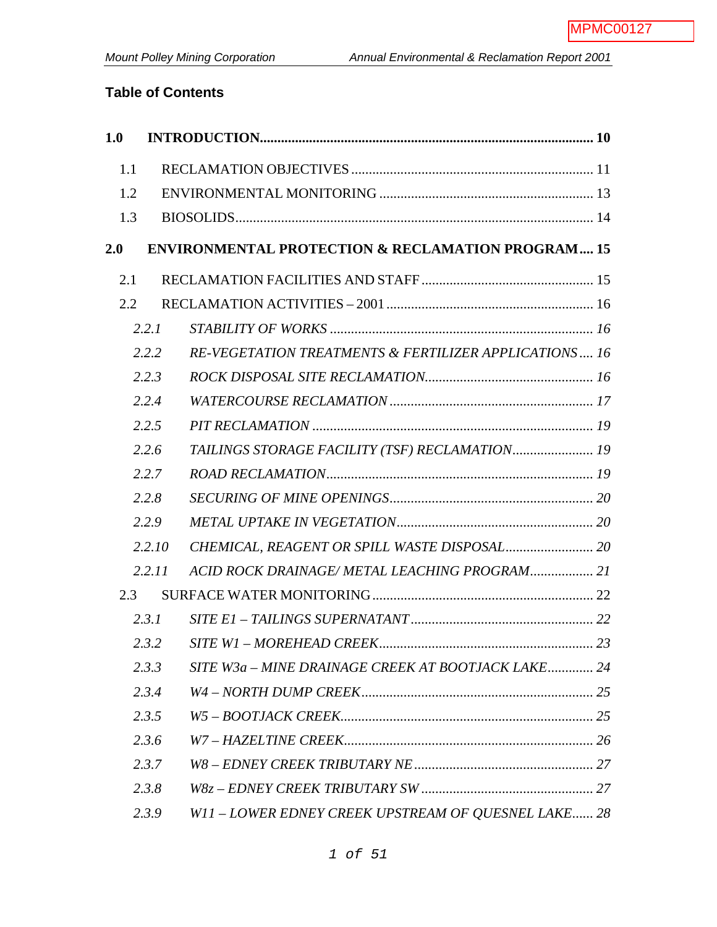# **Table of Contents**

| 1.0 |        |                                                              |  |
|-----|--------|--------------------------------------------------------------|--|
| 1.1 |        |                                                              |  |
| 1.2 |        |                                                              |  |
| 1.3 |        |                                                              |  |
| 2.0 |        | <b>ENVIRONMENTAL PROTECTION &amp; RECLAMATION PROGRAM 15</b> |  |
| 2.1 |        |                                                              |  |
| 2.2 |        |                                                              |  |
|     | 2.2.1  |                                                              |  |
|     | 2.2.2  | RE-VEGETATION TREATMENTS & FERTILIZER APPLICATIONS 16        |  |
|     | 2.2.3  |                                                              |  |
|     | 2.2.4  |                                                              |  |
|     | 2.2.5  |                                                              |  |
|     | 2.2.6  | TAILINGS STORAGE FACILITY (TSF) RECLAMATION 19               |  |
|     | 2.2.7  |                                                              |  |
|     | 2.2.8  |                                                              |  |
|     | 2.2.9  |                                                              |  |
|     | 2.2.10 |                                                              |  |
|     | 2.2.11 | ACID ROCK DRAINAGE/METAL LEACHING PROGRAM 21                 |  |
| 2.3 |        |                                                              |  |
|     | 2.3.1  |                                                              |  |
|     | 2.3.2  |                                                              |  |
|     | 2.3.3  | SITE W3a – MINE DRAINAGE CREEK AT BOOTJACK LAKE 24           |  |
|     | 2.3.4  |                                                              |  |
|     | 2.3.5  |                                                              |  |
|     | 2.3.6  |                                                              |  |
|     | 2.3.7  |                                                              |  |
|     | 2.3.8  |                                                              |  |
|     | 2.3.9  | W11-LOWER EDNEY CREEK UPSTREAM OF QUESNEL LAKE 28            |  |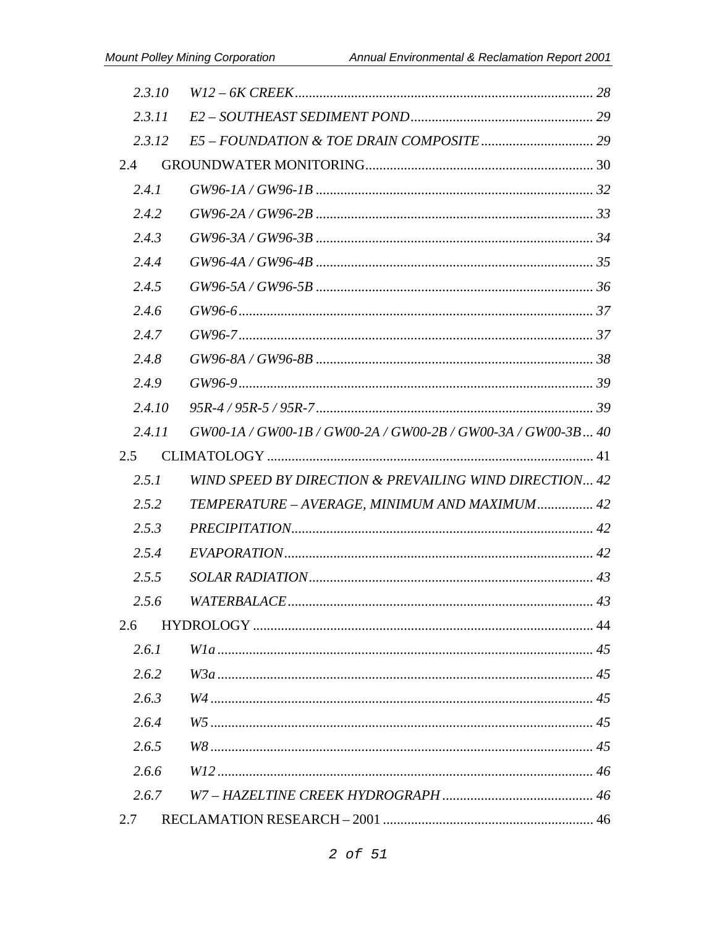| 2.3.10 |                                                              |  |
|--------|--------------------------------------------------------------|--|
| 2.3.11 |                                                              |  |
| 2.3.12 |                                                              |  |
| 2.4    |                                                              |  |
| 2.4.1  |                                                              |  |
| 2.4.2  |                                                              |  |
| 2.4.3  |                                                              |  |
| 2.4.4  |                                                              |  |
| 2.4.5  |                                                              |  |
| 2.4.6  |                                                              |  |
| 2.4.7  |                                                              |  |
| 2.4.8  |                                                              |  |
| 2.4.9  |                                                              |  |
| 2.4.10 |                                                              |  |
| 2.4.11 | GW00-1A / GW00-1B / GW00-2A / GW00-2B / GW00-3A / GW00-3B 40 |  |
| 2.5    |                                                              |  |
| 2.5.1  | WIND SPEED BY DIRECTION & PREVAILING WIND DIRECTION 42       |  |
| 2.5.2  | TEMPERATURE - AVERAGE, MINIMUM AND MAXIMUM 42                |  |
| 2.5.3  |                                                              |  |
| 2.5.4  |                                                              |  |
| 2.5.5  |                                                              |  |
| 2.5.6  |                                                              |  |
| 2.6    |                                                              |  |
| 2.6.1  |                                                              |  |
| 2.6.2  |                                                              |  |
| 2.6.3  |                                                              |  |
| 2.6.4  |                                                              |  |
| 2.6.5  |                                                              |  |
| 2.6.6  |                                                              |  |
| 2.6.7  |                                                              |  |
| 2.7    |                                                              |  |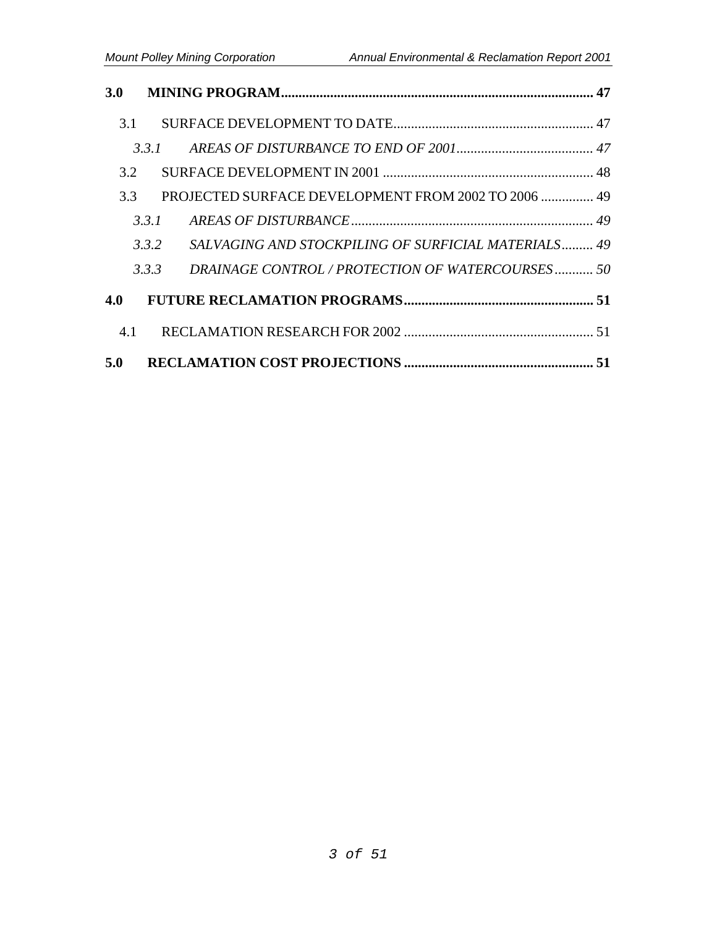| 3.0 |       |                                                     |  |
|-----|-------|-----------------------------------------------------|--|
|     | 3.1   |                                                     |  |
|     | 331   |                                                     |  |
| 3.2 |       |                                                     |  |
|     | 3.3   | PROJECTED SURFACE DEVELOPMENT FROM 2002 TO 2006  49 |  |
|     | 3.3.1 |                                                     |  |
|     | 3.3.2 | SALVAGING AND STOCKPILING OF SURFICIAL MATERIALS 49 |  |
|     | 3.3.3 | DRAINAGE CONTROL / PROTECTION OF WATERCOURSES 50    |  |
| 4.0 |       |                                                     |  |
| 4.1 |       |                                                     |  |
| 5.0 |       |                                                     |  |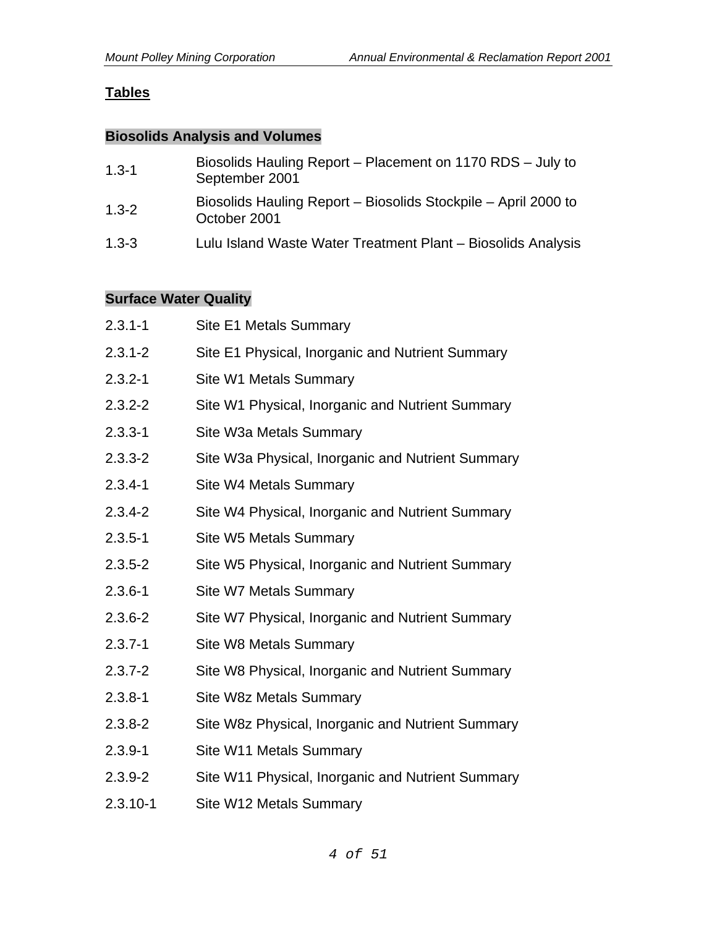# **Tables**

#### **Biosolids Analysis and Volumes**

| $1.3 - 1$ | Biosolids Hauling Report – Placement on 1170 RDS – July to<br>September 2001   |
|-----------|--------------------------------------------------------------------------------|
| $1.3 - 2$ | Biosolids Hauling Report – Biosolids Stockpile – April 2000 to<br>October 2001 |
| $1.3 - 3$ | Lulu Island Waste Water Treatment Plant – Biosolids Analysis                   |

### **Surface Water Quality**

| $2.3.1 - 1$  | Site E1 Metals Summary                            |
|--------------|---------------------------------------------------|
| $2.3.1 - 2$  | Site E1 Physical, Inorganic and Nutrient Summary  |
| $2.3.2 - 1$  | Site W1 Metals Summary                            |
| $2.3.2 - 2$  | Site W1 Physical, Inorganic and Nutrient Summary  |
| $2.3.3 - 1$  | Site W3a Metals Summary                           |
| $2.3.3 - 2$  | Site W3a Physical, Inorganic and Nutrient Summary |
| $2.3.4 - 1$  | Site W4 Metals Summary                            |
| $2.3.4 - 2$  | Site W4 Physical, Inorganic and Nutrient Summary  |
| $2.3.5 - 1$  | Site W5 Metals Summary                            |
| $2.3.5 - 2$  | Site W5 Physical, Inorganic and Nutrient Summary  |
| $2.3.6 - 1$  | Site W7 Metals Summary                            |
| $2.3.6 - 2$  | Site W7 Physical, Inorganic and Nutrient Summary  |
| $2.3.7 - 1$  | Site W8 Metals Summary                            |
| $2.3.7 - 2$  | Site W8 Physical, Inorganic and Nutrient Summary  |
| $2.3.8 - 1$  | Site W8z Metals Summary                           |
| $2.3.8 - 2$  | Site W8z Physical, Inorganic and Nutrient Summary |
| $2.3.9 - 1$  | Site W11 Metals Summary                           |
| $2.3.9 - 2$  | Site W11 Physical, Inorganic and Nutrient Summary |
| $2.3.10 - 1$ | Site W12 Metals Summary                           |
|              |                                                   |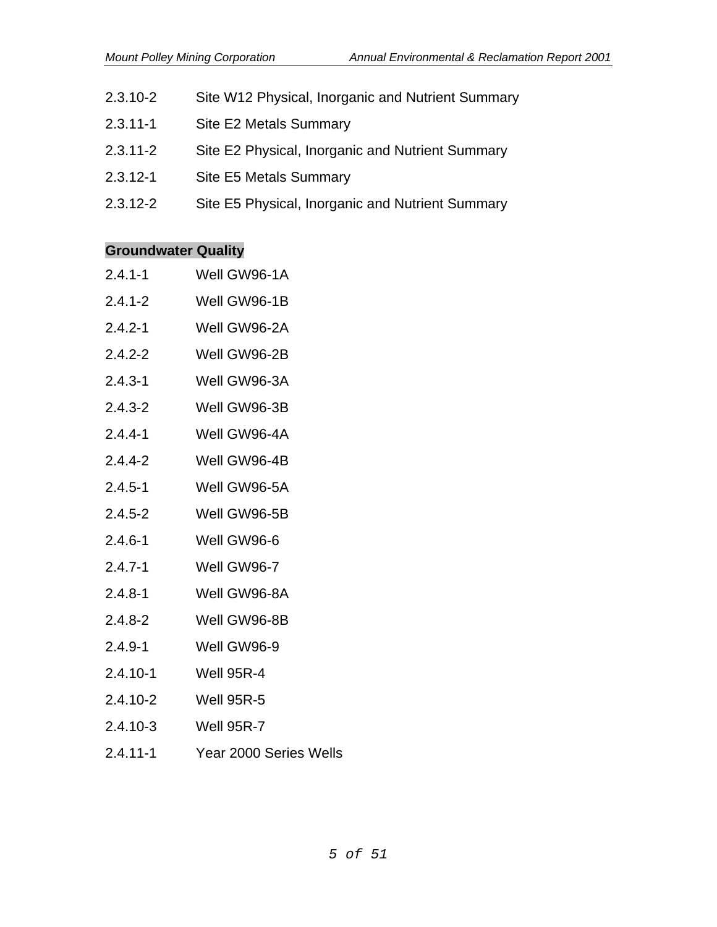- 2.3.10-2 Site W12 Physical, Inorganic and Nutrient Summary
- 2.3.11-1 Site E2 Metals Summary
- 2.3.11-2 Site E2 Physical, Inorganic and Nutrient Summary
- 2.3.12-1 Site E5 Metals Summary
- 2.3.12-2 Site E5 Physical, Inorganic and Nutrient Summary

#### **Groundwater Quality**

- 2.4.1-1 Well GW96-1A
- 2.4.1-2 Well GW96-1B
- 2.4.2-1 Well GW96-2A
- 2.4.2-2 Well GW96-2B
- 2.4.3-1 Well GW96-3A
- 2.4.3-2 Well GW96-3B
- 2.4.4-1 Well GW96-4A
- 2.4.4-2 Well GW96-4B
- 2.4.5-1 Well GW96-5A
- 2.4.5-2 Well GW96-5B
- 2.4.6-1 Well GW96-6
- 2.4.7-1 Well GW96-7
- 2.4.8-1 Well GW96-8A
- 2.4.8-2 Well GW96-8B
- 2.4.9-1 Well GW96-9
- 2.4.10-1 Well 95R-4
- 2.4.10-2 Well 95R-5
- 2.4.10-3 Well 95R-7
- 2.4.11-1 Year 2000 Series Wells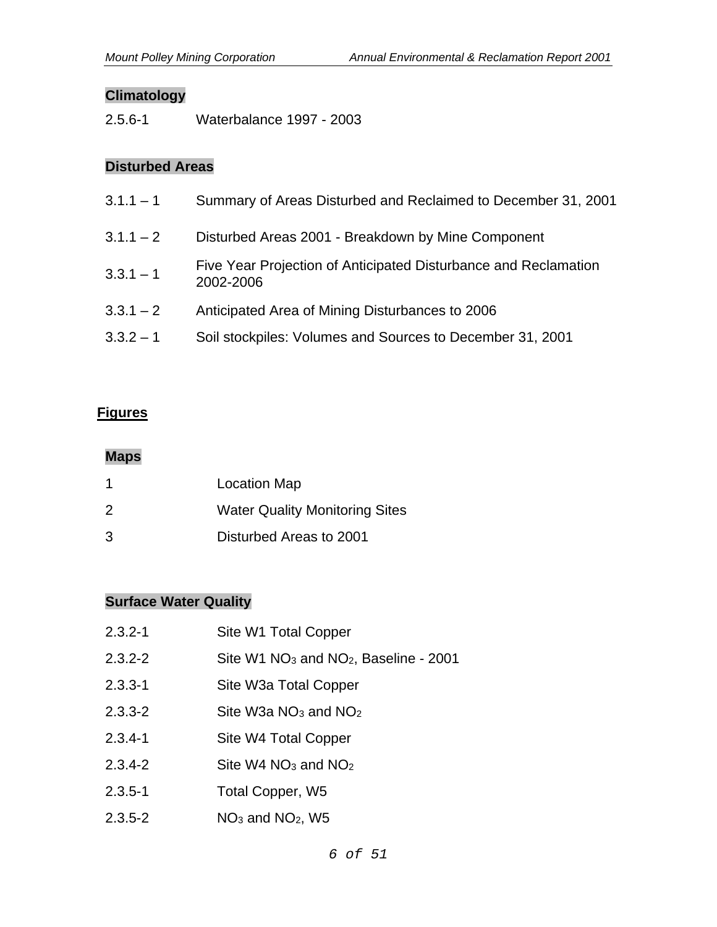### **Climatology**

2.5.6-1 Waterbalance 1997 - 2003

### **Disturbed Areas**

| $3.1.1 - 1$ | Summary of Areas Disturbed and Reclaimed to December 31, 2001                |
|-------------|------------------------------------------------------------------------------|
| $3.1.1 - 2$ | Disturbed Areas 2001 - Breakdown by Mine Component                           |
| $3.3.1 - 1$ | Five Year Projection of Anticipated Disturbance and Reclamation<br>2002-2006 |
| $3.3.1 - 2$ | Anticipated Area of Mining Disturbances to 2006                              |
| $3.3.2 - 1$ | Soil stockpiles: Volumes and Sources to December 31, 2001                    |

#### **Figures**

#### **Maps**

| 1 | <b>Location Map</b>                   |
|---|---------------------------------------|
| 2 | <b>Water Quality Monitoring Sites</b> |
| 3 | Disturbed Areas to 2001               |

# **Surface Water Quality**

| $2.3.2 - 1$ | Site W1 Total Copper                                          |
|-------------|---------------------------------------------------------------|
| $2.3.2 - 2$ | Site W1 NO <sub>3</sub> and NO <sub>2</sub> , Baseline - 2001 |
| $2.3.3 - 1$ | Site W3a Total Copper                                         |
| 2.3.3-2     | Site W3a $NO3$ and $NO2$                                      |
| 2.3.4-1     | Site W4 Total Copper                                          |
| 2.3.4-2     | Site W4 NO <sub>3</sub> and NO <sub>2</sub>                   |
| $2.3.5 - 1$ | Total Copper, W5                                              |
| 2.3.5-2     | $NO3$ and $NO2$ , W5                                          |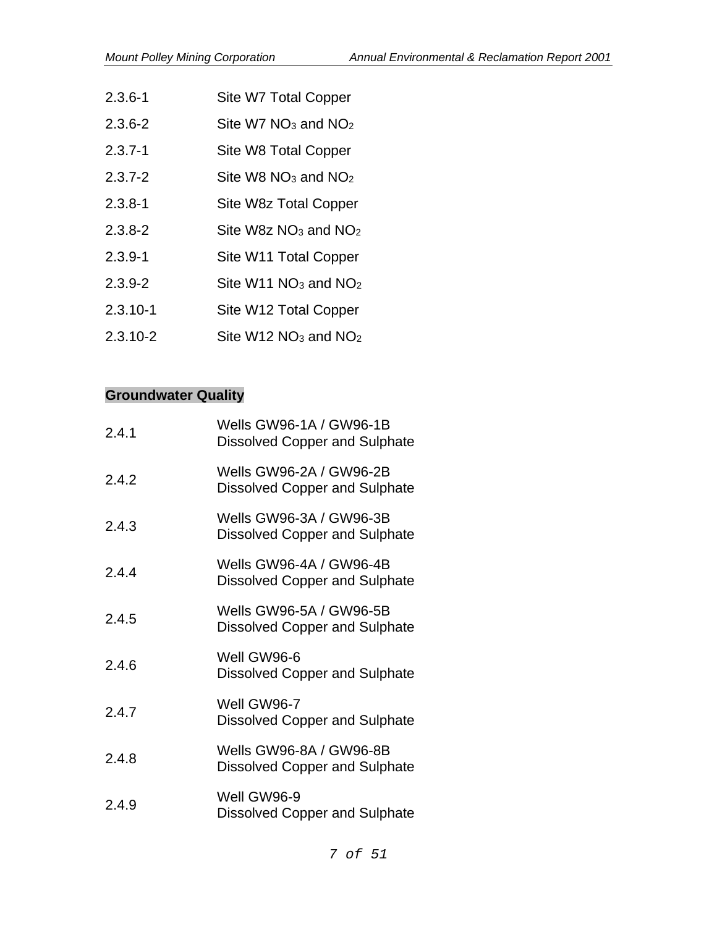- 2.3.6-1 Site W7 Total Copper
- 2.3.6-2 Site W7 NO3 and NO2
- 2.3.7-1 Site W8 Total Copper
- $2.3.7-2$  Site W8 NO<sub>3</sub> and NO<sub>2</sub>
- 2.3.8-1 Site W8z Total Copper
- 2.3.8-2 Site W8z NO3 and NO2
- 2.3.9-1 Site W11 Total Copper
- 2.3.9-2 Site W11  $NO<sub>3</sub>$  and  $NO<sub>2</sub>$
- 2.3.10-1 Site W12 Total Copper
- 2.3.10-2 Site W12  $NO<sub>3</sub>$  and  $NO<sub>2</sub>$

#### **Groundwater Quality**

| 2.4.1 | Wells GW96-1A / GW96-1B<br><b>Dissolved Copper and Sulphate</b> |
|-------|-----------------------------------------------------------------|
| 2.4.2 | Wells GW96-2A / GW96-2B<br>Dissolved Copper and Sulphate        |
| 2.4.3 | Wells GW96-3A / GW96-3B<br><b>Dissolved Copper and Sulphate</b> |
| 2.4.4 | Wells GW96-4A / GW96-4B<br><b>Dissolved Copper and Sulphate</b> |
| 2.4.5 | Wells GW96-5A / GW96-5B<br>Dissolved Copper and Sulphate        |
| 2.4.6 | Well GW96-6<br><b>Dissolved Copper and Sulphate</b>             |
| 2.4.7 | Well GW96-7<br><b>Dissolved Copper and Sulphate</b>             |
| 2.4.8 | Wells GW96-8A / GW96-8B<br>Dissolved Copper and Sulphate        |
| 2.4.9 | Well GW96-9<br><b>Dissolved Copper and Sulphate</b>             |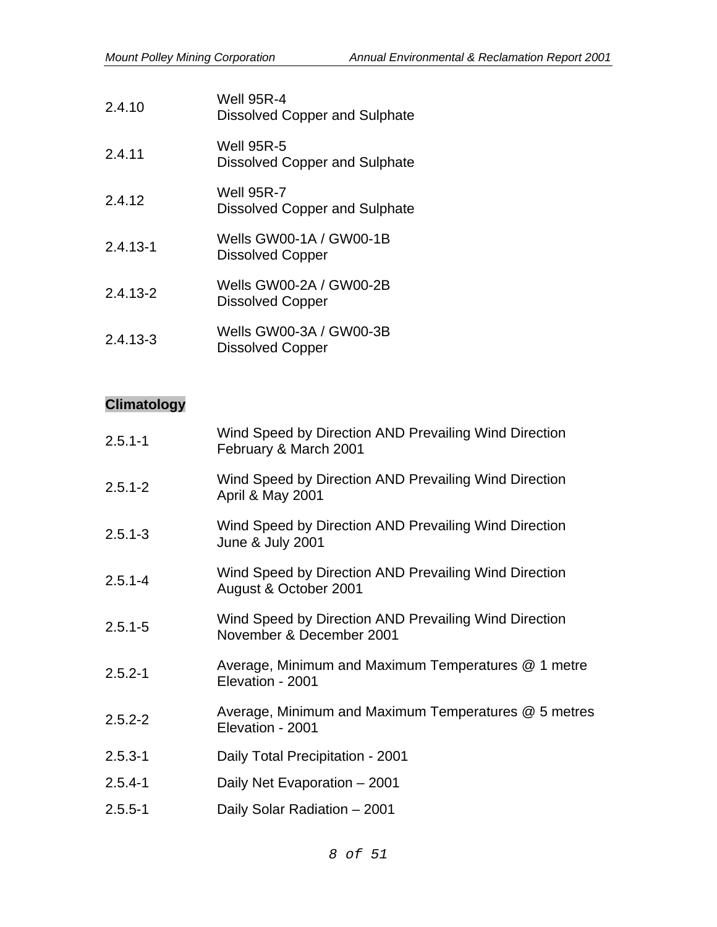| 2.4.10       | <b>Well 95R-4</b><br><b>Dissolved Copper and Sulphate</b> |
|--------------|-----------------------------------------------------------|
| 2.4.11       | <b>Well 95R-5</b><br><b>Dissolved Copper and Sulphate</b> |
| 2.4.12       | Well 95R-7<br><b>Dissolved Copper and Sulphate</b>        |
| $2.4.13 - 1$ | Wells GW00-1A / GW00-1B<br><b>Dissolved Copper</b>        |
| $2.4.13 - 2$ | Wells GW00-2A / GW00-2B<br><b>Dissolved Copper</b>        |
| $2.4.13 - 3$ | Wells GW00-3A / GW00-3B<br>Dissolved Copper               |

# **Climatology**

| $2.5.1 - 1$ | Wind Speed by Direction AND Prevailing Wind Direction<br>February & March 2001       |
|-------------|--------------------------------------------------------------------------------------|
| $2.5.1 - 2$ | Wind Speed by Direction AND Prevailing Wind Direction<br>April & May 2001            |
| $2.5.1 - 3$ | Wind Speed by Direction AND Prevailing Wind Direction<br><b>June &amp; July 2001</b> |
| $2.5.1 - 4$ | Wind Speed by Direction AND Prevailing Wind Direction<br>August & October 2001       |
| $2.5.1 - 5$ | Wind Speed by Direction AND Prevailing Wind Direction<br>November & December 2001    |
| $2.5.2 - 1$ | Average, Minimum and Maximum Temperatures @ 1 metre<br>Elevation - 2001              |
| $2.5.2 - 2$ | Average, Minimum and Maximum Temperatures @ 5 metres<br>Elevation - 2001             |
| $2.5.3 - 1$ | Daily Total Precipitation - 2001                                                     |
| $2.5.4 - 1$ | Daily Net Evaporation - 2001                                                         |
| $2.5.5 - 1$ | Daily Solar Radiation - 2001                                                         |
|             |                                                                                      |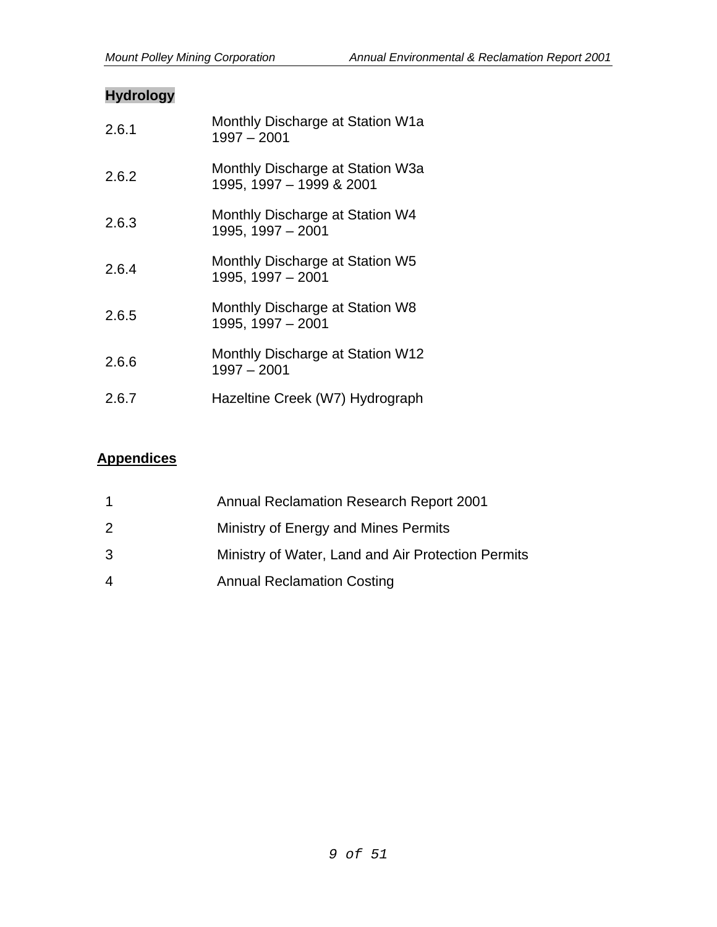## **Hydrology**

| 2.6.1 | Monthly Discharge at Station W1a<br>$1997 - 2001$            |
|-------|--------------------------------------------------------------|
| 2.6.2 | Monthly Discharge at Station W3a<br>1995, 1997 - 1999 & 2001 |
| 2.6.3 | Monthly Discharge at Station W4<br>1995, 1997 - 2001         |
| 2.6.4 | Monthly Discharge at Station W5<br>1995, 1997 - 2001         |
| 2.6.5 | Monthly Discharge at Station W8<br>1995, 1997 - 2001         |
| 2.6.6 | Monthly Discharge at Station W12<br>$1997 - 2001$            |
| 2.6.7 | Hazeltine Creek (W7) Hydrograph                              |

### **Appendices**

|   | Annual Reclamation Research Report 2001            |
|---|----------------------------------------------------|
| 2 | Ministry of Energy and Mines Permits               |
| 3 | Ministry of Water, Land and Air Protection Permits |
| 4 | <b>Annual Reclamation Costing</b>                  |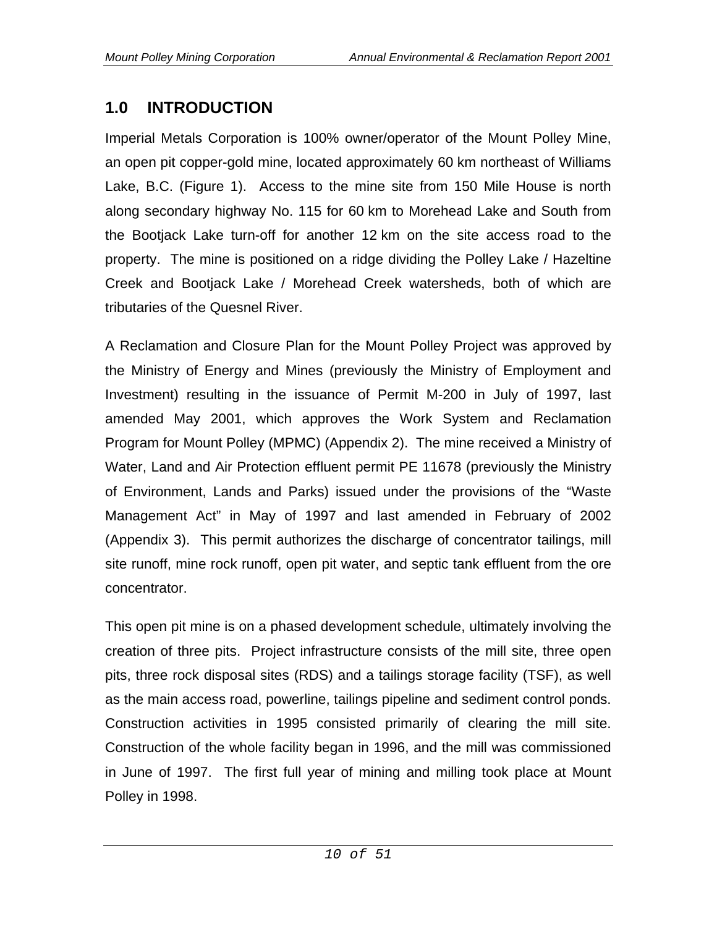# **1.0 INTRODUCTION**

Imperial Metals Corporation is 100% owner/operator of the Mount Polley Mine, an open pit copper-gold mine, located approximately 60 km northeast of Williams Lake, B.C. (Figure 1). Access to the mine site from 150 Mile House is north along secondary highway No. 115 for 60 km to Morehead Lake and South from the Bootjack Lake turn-off for another 12 km on the site access road to the property. The mine is positioned on a ridge dividing the Polley Lake / Hazeltine Creek and Bootjack Lake / Morehead Creek watersheds, both of which are tributaries of the Quesnel River.

A Reclamation and Closure Plan for the Mount Polley Project was approved by the Ministry of Energy and Mines (previously the Ministry of Employment and Investment) resulting in the issuance of Permit M-200 in July of 1997, last amended May 2001, which approves the Work System and Reclamation Program for Mount Polley (MPMC) (Appendix 2). The mine received a Ministry of Water, Land and Air Protection effluent permit PE 11678 (previously the Ministry of Environment, Lands and Parks) issued under the provisions of the "Waste Management Act" in May of 1997 and last amended in February of 2002 (Appendix 3). This permit authorizes the discharge of concentrator tailings, mill site runoff, mine rock runoff, open pit water, and septic tank effluent from the ore concentrator.

This open pit mine is on a phased development schedule, ultimately involving the creation of three pits. Project infrastructure consists of the mill site, three open pits, three rock disposal sites (RDS) and a tailings storage facility (TSF), as well as the main access road, powerline, tailings pipeline and sediment control ponds. Construction activities in 1995 consisted primarily of clearing the mill site. Construction of the whole facility began in 1996, and the mill was commissioned in June of 1997. The first full year of mining and milling took place at Mount Polley in 1998.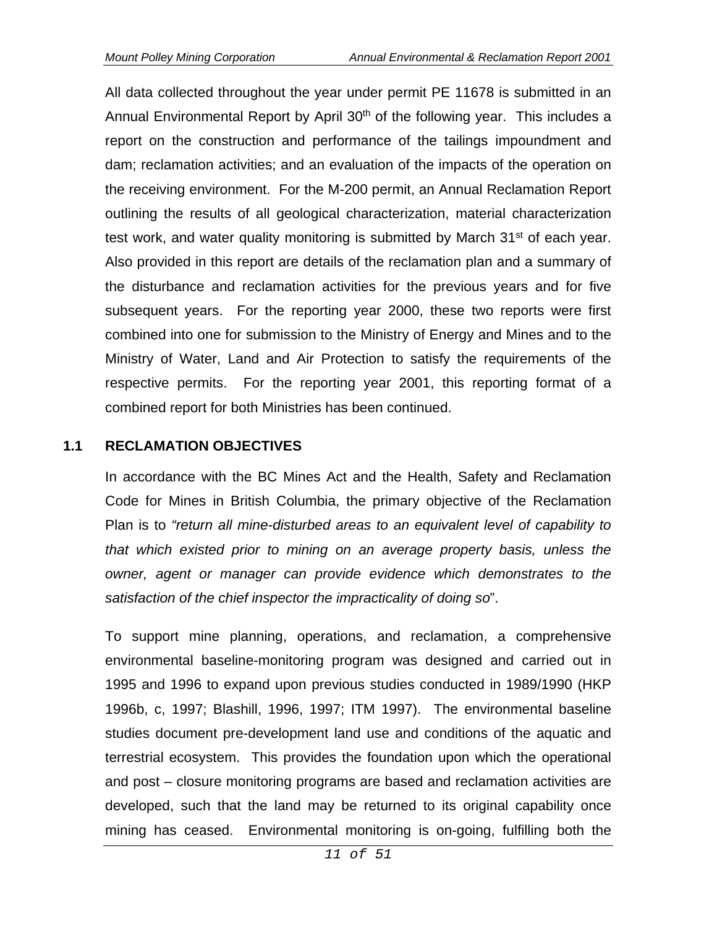All data collected throughout the year under permit PE 11678 is submitted in an Annual Environmental Report by April  $30<sup>th</sup>$  of the following year. This includes a report on the construction and performance of the tailings impoundment and dam; reclamation activities; and an evaluation of the impacts of the operation on the receiving environment. For the M-200 permit, an Annual Reclamation Report outlining the results of all geological characterization, material characterization test work, and water quality monitoring is submitted by March 31<sup>st</sup> of each year. Also provided in this report are details of the reclamation plan and a summary of the disturbance and reclamation activities for the previous years and for five subsequent years. For the reporting year 2000, these two reports were first combined into one for submission to the Ministry of Energy and Mines and to the Ministry of Water, Land and Air Protection to satisfy the requirements of the respective permits. For the reporting year 2001, this reporting format of a combined report for both Ministries has been continued.

#### **1.1 RECLAMATION OBJECTIVES**

In accordance with the BC Mines Act and the Health, Safety and Reclamation Code for Mines in British Columbia, the primary objective of the Reclamation Plan is to *"return all mine-disturbed areas to an equivalent level of capability to that which existed prior to mining on an average property basis, unless the owner, agent or manager can provide evidence which demonstrates to the satisfaction of the chief inspector the impracticality of doing so*".

To support mine planning, operations, and reclamation, a comprehensive environmental baseline-monitoring program was designed and carried out in 1995 and 1996 to expand upon previous studies conducted in 1989/1990 (HKP 1996b, c, 1997; Blashill, 1996, 1997; ITM 1997). The environmental baseline studies document pre-development land use and conditions of the aquatic and terrestrial ecosystem. This provides the foundation upon which the operational and post – closure monitoring programs are based and reclamation activities are developed, such that the land may be returned to its original capability once mining has ceased. Environmental monitoring is on-going, fulfilling both the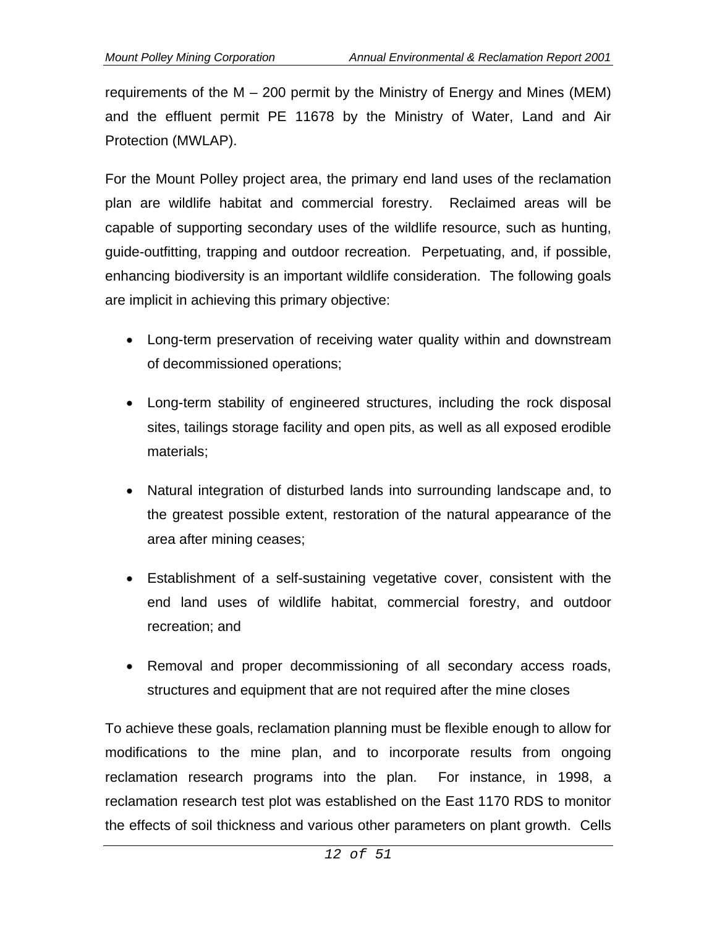requirements of the M – 200 permit by the Ministry of Energy and Mines (MEM) and the effluent permit PE 11678 by the Ministry of Water, Land and Air Protection (MWLAP).

For the Mount Polley project area, the primary end land uses of the reclamation plan are wildlife habitat and commercial forestry. Reclaimed areas will be capable of supporting secondary uses of the wildlife resource, such as hunting, guide-outfitting, trapping and outdoor recreation. Perpetuating, and, if possible, enhancing biodiversity is an important wildlife consideration. The following goals are implicit in achieving this primary objective:

- Long-term preservation of receiving water quality within and downstream of decommissioned operations;
- Long-term stability of engineered structures, including the rock disposal sites, tailings storage facility and open pits, as well as all exposed erodible materials;
- Natural integration of disturbed lands into surrounding landscape and, to the greatest possible extent, restoration of the natural appearance of the area after mining ceases;
- Establishment of a self-sustaining vegetative cover, consistent with the end land uses of wildlife habitat, commercial forestry, and outdoor recreation; and
- Removal and proper decommissioning of all secondary access roads, structures and equipment that are not required after the mine closes

To achieve these goals, reclamation planning must be flexible enough to allow for modifications to the mine plan, and to incorporate results from ongoing reclamation research programs into the plan. For instance, in 1998, a reclamation research test plot was established on the East 1170 RDS to monitor the effects of soil thickness and various other parameters on plant growth. Cells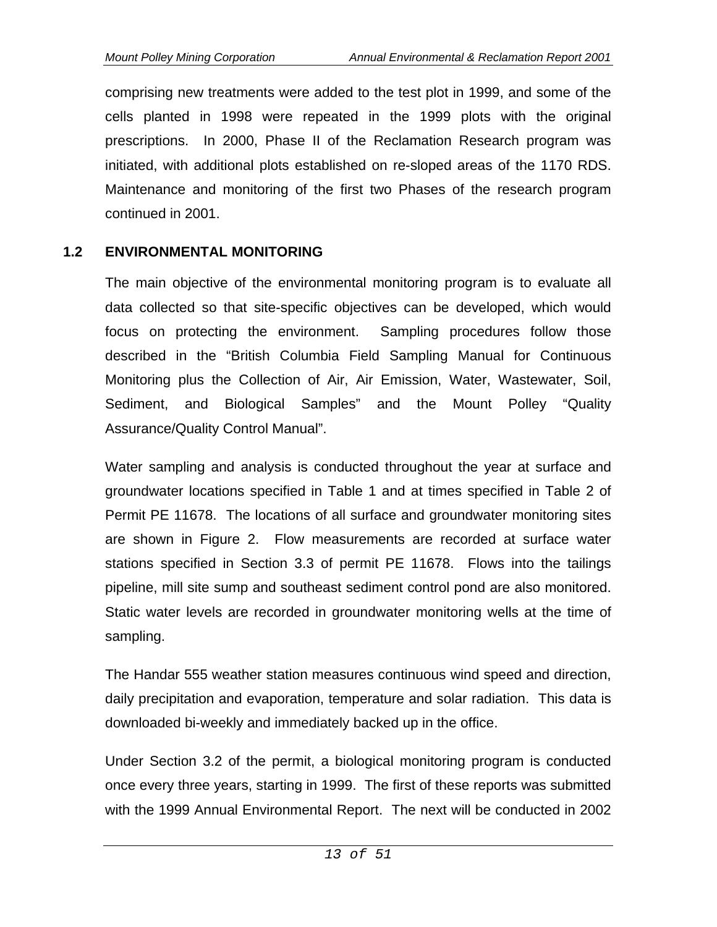comprising new treatments were added to the test plot in 1999, and some of the cells planted in 1998 were repeated in the 1999 plots with the original prescriptions. In 2000, Phase II of the Reclamation Research program was initiated, with additional plots established on re-sloped areas of the 1170 RDS. Maintenance and monitoring of the first two Phases of the research program continued in 2001.

#### **1.2 ENVIRONMENTAL MONITORING**

The main objective of the environmental monitoring program is to evaluate all data collected so that site-specific objectives can be developed, which would focus on protecting the environment. Sampling procedures follow those described in the "British Columbia Field Sampling Manual for Continuous Monitoring plus the Collection of Air, Air Emission, Water, Wastewater, Soil, Sediment, and Biological Samples" and the Mount Polley "Quality Assurance/Quality Control Manual".

Water sampling and analysis is conducted throughout the year at surface and groundwater locations specified in Table 1 and at times specified in Table 2 of Permit PE 11678. The locations of all surface and groundwater monitoring sites are shown in Figure 2. Flow measurements are recorded at surface water stations specified in Section 3.3 of permit PE 11678. Flows into the tailings pipeline, mill site sump and southeast sediment control pond are also monitored. Static water levels are recorded in groundwater monitoring wells at the time of sampling.

The Handar 555 weather station measures continuous wind speed and direction, daily precipitation and evaporation, temperature and solar radiation. This data is downloaded bi-weekly and immediately backed up in the office.

Under Section 3.2 of the permit, a biological monitoring program is conducted once every three years, starting in 1999. The first of these reports was submitted with the 1999 Annual Environmental Report. The next will be conducted in 2002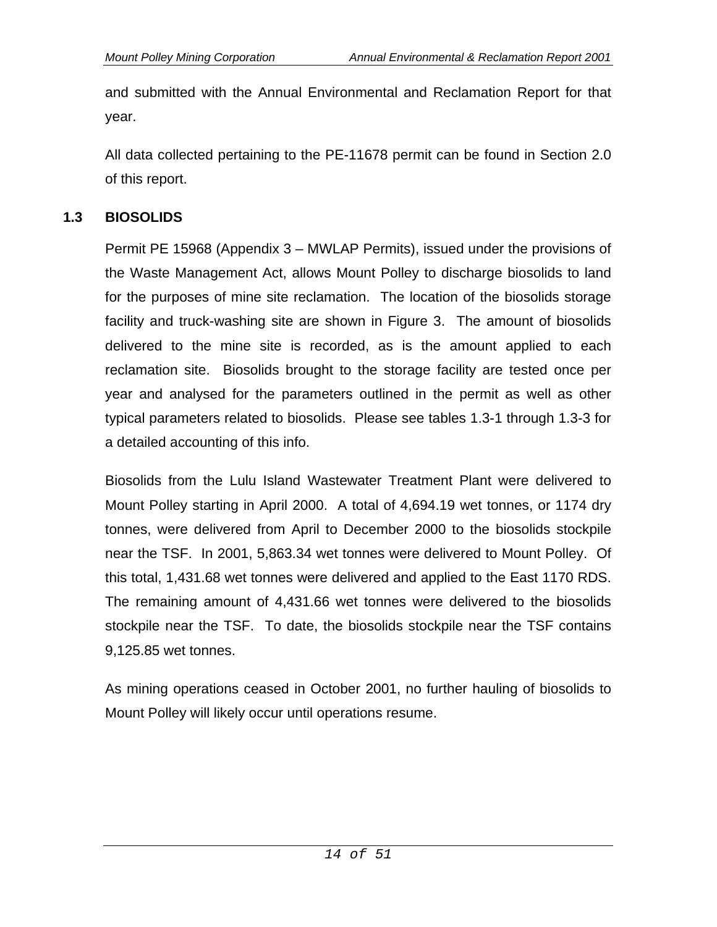and submitted with the Annual Environmental and Reclamation Report for that year.

All data collected pertaining to the PE-11678 permit can be found in Section 2.0 of this report.

#### **1.3 BIOSOLIDS**

Permit PE 15968 (Appendix 3 – MWLAP Permits), issued under the provisions of the Waste Management Act, allows Mount Polley to discharge biosolids to land for the purposes of mine site reclamation. The location of the biosolids storage facility and truck-washing site are shown in Figure 3. The amount of biosolids delivered to the mine site is recorded, as is the amount applied to each reclamation site. Biosolids brought to the storage facility are tested once per year and analysed for the parameters outlined in the permit as well as other typical parameters related to biosolids. Please see tables 1.3-1 through 1.3-3 for a detailed accounting of this info.

Biosolids from the Lulu Island Wastewater Treatment Plant were delivered to Mount Polley starting in April 2000. A total of 4,694.19 wet tonnes, or 1174 dry tonnes, were delivered from April to December 2000 to the biosolids stockpile near the TSF. In 2001, 5,863.34 wet tonnes were delivered to Mount Polley. Of this total, 1,431.68 wet tonnes were delivered and applied to the East 1170 RDS. The remaining amount of 4,431.66 wet tonnes were delivered to the biosolids stockpile near the TSF. To date, the biosolids stockpile near the TSF contains 9,125.85 wet tonnes.

As mining operations ceased in October 2001, no further hauling of biosolids to Mount Polley will likely occur until operations resume.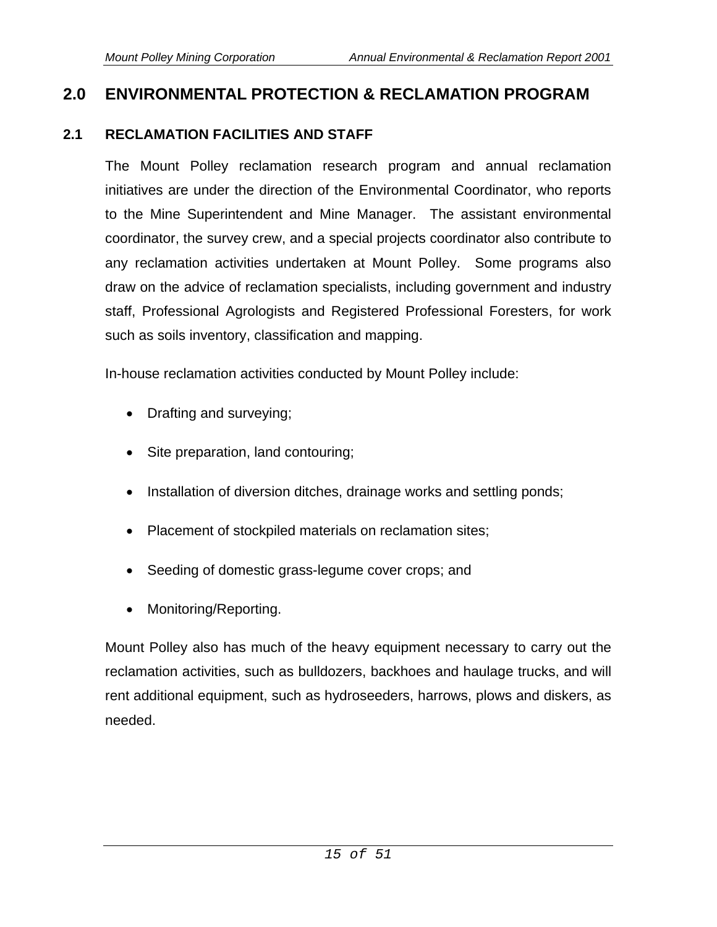# **2.0 ENVIRONMENTAL PROTECTION & RECLAMATION PROGRAM**

### **2.1 RECLAMATION FACILITIES AND STAFF**

The Mount Polley reclamation research program and annual reclamation initiatives are under the direction of the Environmental Coordinator, who reports to the Mine Superintendent and Mine Manager. The assistant environmental coordinator, the survey crew, and a special projects coordinator also contribute to any reclamation activities undertaken at Mount Polley. Some programs also draw on the advice of reclamation specialists, including government and industry staff, Professional Agrologists and Registered Professional Foresters, for work such as soils inventory, classification and mapping.

In-house reclamation activities conducted by Mount Polley include:

- Drafting and surveying;
- Site preparation, land contouring;
- Installation of diversion ditches, drainage works and settling ponds;
- Placement of stockpiled materials on reclamation sites;
- Seeding of domestic grass-legume cover crops; and
- Monitoring/Reporting.

Mount Polley also has much of the heavy equipment necessary to carry out the reclamation activities, such as bulldozers, backhoes and haulage trucks, and will rent additional equipment, such as hydroseeders, harrows, plows and diskers, as needed.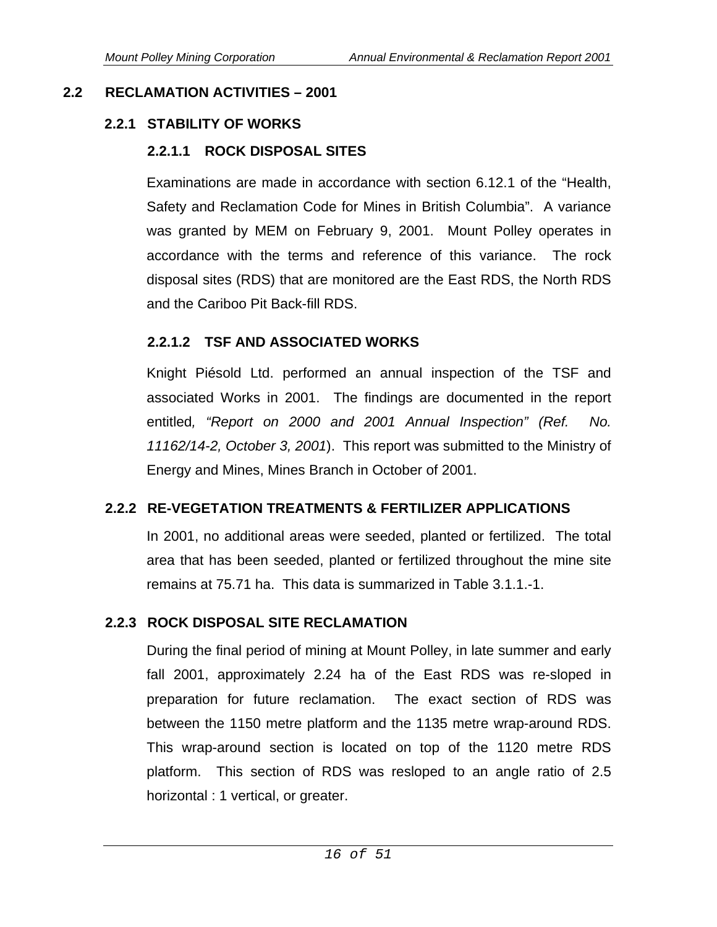# **2.2 RECLAMATION ACTIVITIES – 2001**

## **2.2.1 STABILITY OF WORKS**

# **2.2.1.1 ROCK DISPOSAL SITES**

Examinations are made in accordance with section 6.12.1 of the "Health, Safety and Reclamation Code for Mines in British Columbia". A variance was granted by MEM on February 9, 2001. Mount Polley operates in accordance with the terms and reference of this variance. The rock disposal sites (RDS) that are monitored are the East RDS, the North RDS and the Cariboo Pit Back-fill RDS.

### **2.2.1.2 TSF AND ASSOCIATED WORKS**

Knight Piésold Ltd. performed an annual inspection of the TSF and associated Works in 2001. The findings are documented in the report entitled*, "Report on 2000 and 2001 Annual Inspection" (Ref. No. 11162/14-2, October 3, 2001*). This report was submitted to the Ministry of Energy and Mines, Mines Branch in October of 2001.

# **2.2.2 RE-VEGETATION TREATMENTS & FERTILIZER APPLICATIONS**

In 2001, no additional areas were seeded, planted or fertilized. The total area that has been seeded, planted or fertilized throughout the mine site remains at 75.71 ha. This data is summarized in Table 3.1.1.-1.

### **2.2.3 ROCK DISPOSAL SITE RECLAMATION**

During the final period of mining at Mount Polley, in late summer and early fall 2001, approximately 2.24 ha of the East RDS was re-sloped in preparation for future reclamation. The exact section of RDS was between the 1150 metre platform and the 1135 metre wrap-around RDS. This wrap-around section is located on top of the 1120 metre RDS platform. This section of RDS was resloped to an angle ratio of 2.5 horizontal : 1 vertical, or greater.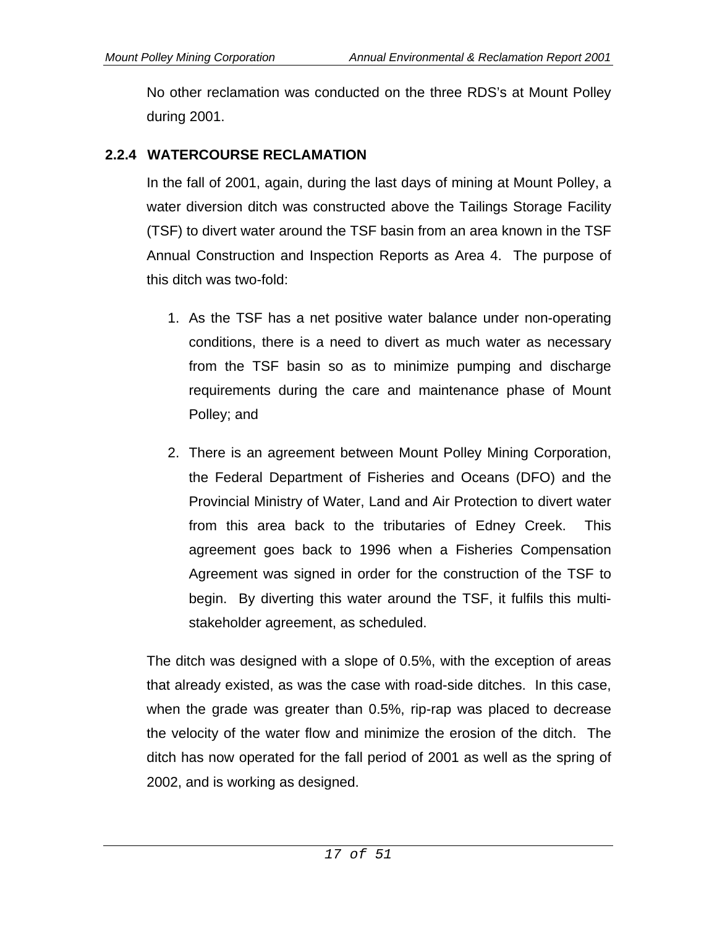No other reclamation was conducted on the three RDS's at Mount Polley during 2001.

### **2.2.4 WATERCOURSE RECLAMATION**

In the fall of 2001, again, during the last days of mining at Mount Polley, a water diversion ditch was constructed above the Tailings Storage Facility (TSF) to divert water around the TSF basin from an area known in the TSF Annual Construction and Inspection Reports as Area 4. The purpose of this ditch was two-fold:

- 1. As the TSF has a net positive water balance under non-operating conditions, there is a need to divert as much water as necessary from the TSF basin so as to minimize pumping and discharge requirements during the care and maintenance phase of Mount Polley; and
- 2. There is an agreement between Mount Polley Mining Corporation, the Federal Department of Fisheries and Oceans (DFO) and the Provincial Ministry of Water, Land and Air Protection to divert water from this area back to the tributaries of Edney Creek. This agreement goes back to 1996 when a Fisheries Compensation Agreement was signed in order for the construction of the TSF to begin. By diverting this water around the TSF, it fulfils this multistakeholder agreement, as scheduled.

The ditch was designed with a slope of 0.5%, with the exception of areas that already existed, as was the case with road-side ditches. In this case, when the grade was greater than 0.5%, rip-rap was placed to decrease the velocity of the water flow and minimize the erosion of the ditch. The ditch has now operated for the fall period of 2001 as well as the spring of 2002, and is working as designed.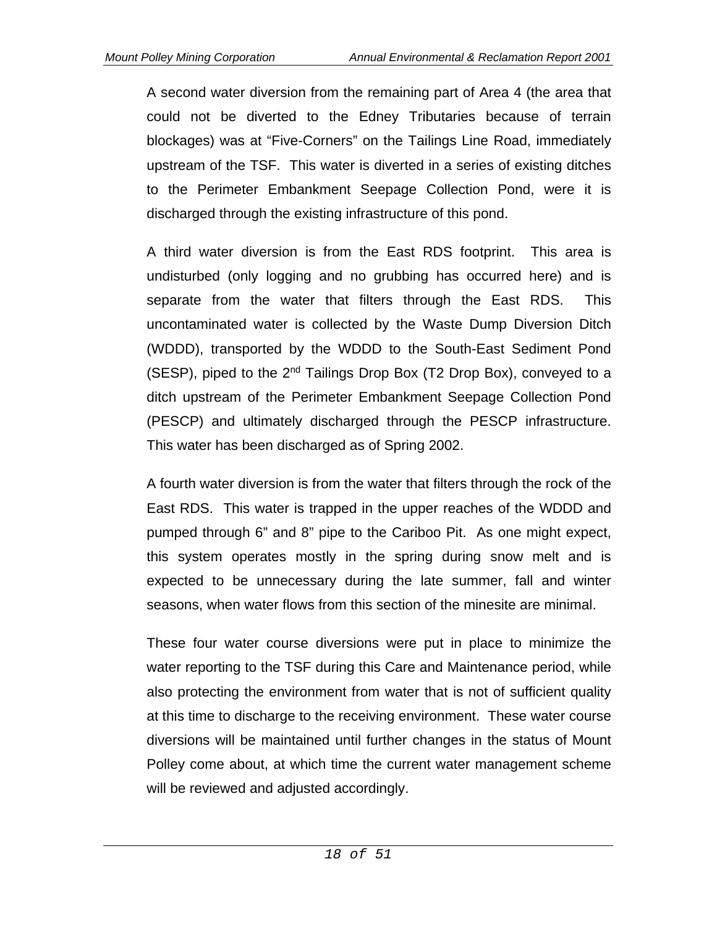A second water diversion from the remaining part of Area 4 (the area that could not be diverted to the Edney Tributaries because of terrain blockages) was at "Five-Corners" on the Tailings Line Road, immediately upstream of the TSF. This water is diverted in a series of existing ditches to the Perimeter Embankment Seepage Collection Pond, were it is discharged through the existing infrastructure of this pond.

A third water diversion is from the East RDS footprint. This area is undisturbed (only logging and no grubbing has occurred here) and is separate from the water that filters through the East RDS. This uncontaminated water is collected by the Waste Dump Diversion Ditch (WDDD), transported by the WDDD to the South-East Sediment Pond (SESP), piped to the 2nd Tailings Drop Box (T2 Drop Box), conveyed to a ditch upstream of the Perimeter Embankment Seepage Collection Pond (PESCP) and ultimately discharged through the PESCP infrastructure. This water has been discharged as of Spring 2002.

A fourth water diversion is from the water that filters through the rock of the East RDS. This water is trapped in the upper reaches of the WDDD and pumped through 6" and 8" pipe to the Cariboo Pit. As one might expect, this system operates mostly in the spring during snow melt and is expected to be unnecessary during the late summer, fall and winter seasons, when water flows from this section of the minesite are minimal.

These four water course diversions were put in place to minimize the water reporting to the TSF during this Care and Maintenance period, while also protecting the environment from water that is not of sufficient quality at this time to discharge to the receiving environment. These water course diversions will be maintained until further changes in the status of Mount Polley come about, at which time the current water management scheme will be reviewed and adjusted accordingly.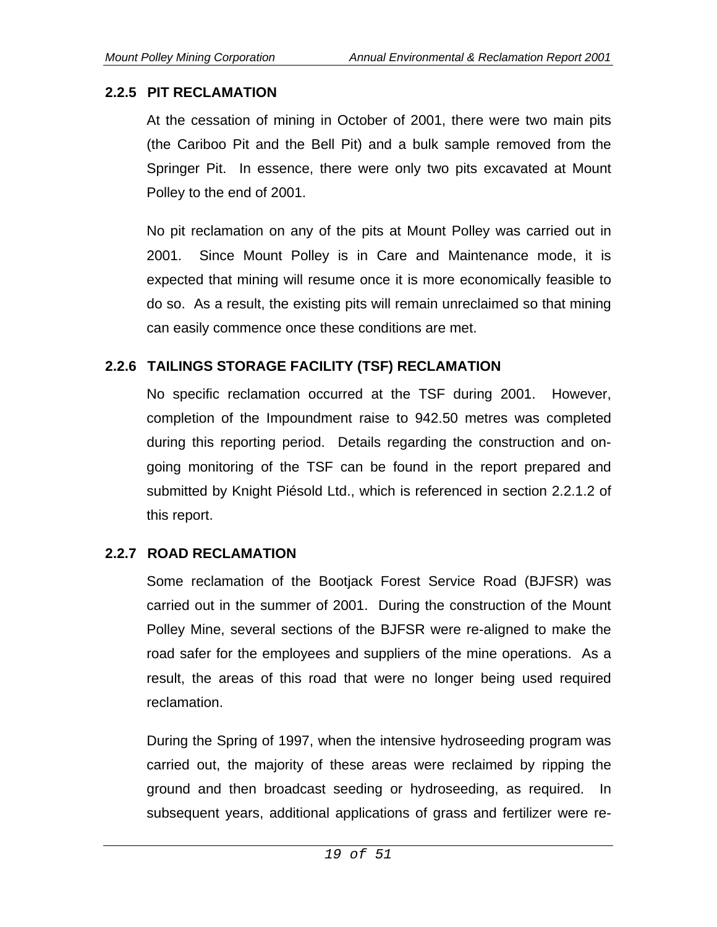#### **2.2.5 PIT RECLAMATION**

At the cessation of mining in October of 2001, there were two main pits (the Cariboo Pit and the Bell Pit) and a bulk sample removed from the Springer Pit. In essence, there were only two pits excavated at Mount Polley to the end of 2001.

No pit reclamation on any of the pits at Mount Polley was carried out in 2001. Since Mount Polley is in Care and Maintenance mode, it is expected that mining will resume once it is more economically feasible to do so. As a result, the existing pits will remain unreclaimed so that mining can easily commence once these conditions are met.

### **2.2.6 TAILINGS STORAGE FACILITY (TSF) RECLAMATION**

No specific reclamation occurred at the TSF during 2001. However, completion of the Impoundment raise to 942.50 metres was completed during this reporting period. Details regarding the construction and ongoing monitoring of the TSF can be found in the report prepared and submitted by Knight Piésold Ltd., which is referenced in section 2.2.1.2 of this report.

### **2.2.7 ROAD RECLAMATION**

Some reclamation of the Bootjack Forest Service Road (BJFSR) was carried out in the summer of 2001. During the construction of the Mount Polley Mine, several sections of the BJFSR were re-aligned to make the road safer for the employees and suppliers of the mine operations. As a result, the areas of this road that were no longer being used required reclamation.

During the Spring of 1997, when the intensive hydroseeding program was carried out, the majority of these areas were reclaimed by ripping the ground and then broadcast seeding or hydroseeding, as required. In subsequent years, additional applications of grass and fertilizer were re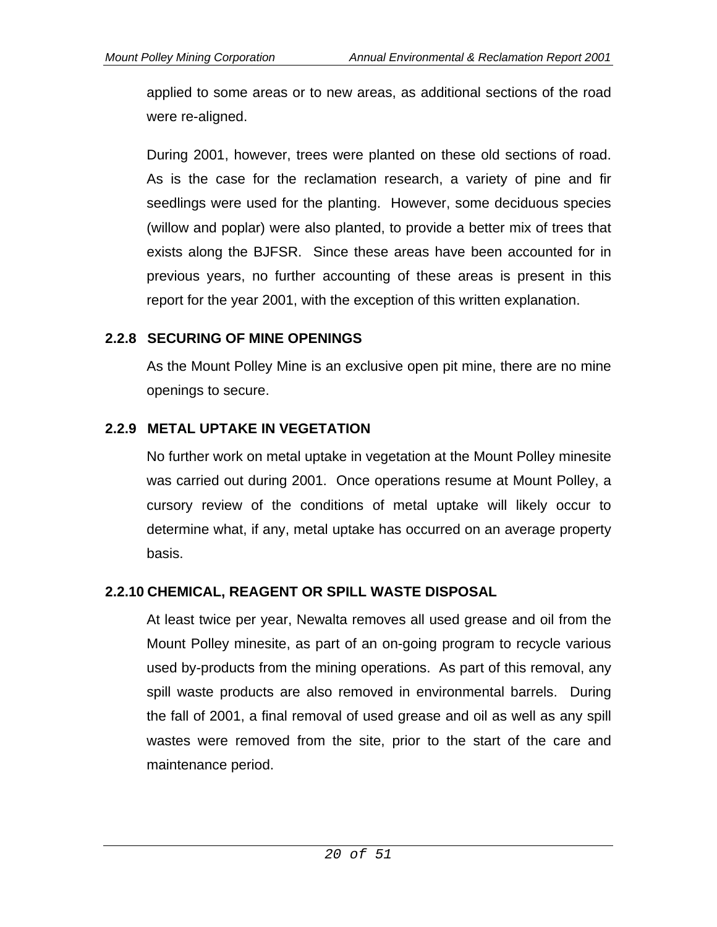applied to some areas or to new areas, as additional sections of the road were re-aligned.

During 2001, however, trees were planted on these old sections of road. As is the case for the reclamation research, a variety of pine and fir seedlings were used for the planting. However, some deciduous species (willow and poplar) were also planted, to provide a better mix of trees that exists along the BJFSR. Since these areas have been accounted for in previous years, no further accounting of these areas is present in this report for the year 2001, with the exception of this written explanation.

#### **2.2.8 SECURING OF MINE OPENINGS**

As the Mount Polley Mine is an exclusive open pit mine, there are no mine openings to secure.

#### **2.2.9 METAL UPTAKE IN VEGETATION**

No further work on metal uptake in vegetation at the Mount Polley minesite was carried out during 2001. Once operations resume at Mount Polley, a cursory review of the conditions of metal uptake will likely occur to determine what, if any, metal uptake has occurred on an average property basis.

### **2.2.10 CHEMICAL, REAGENT OR SPILL WASTE DISPOSAL**

At least twice per year, Newalta removes all used grease and oil from the Mount Polley minesite, as part of an on-going program to recycle various used by-products from the mining operations. As part of this removal, any spill waste products are also removed in environmental barrels. During the fall of 2001, a final removal of used grease and oil as well as any spill wastes were removed from the site, prior to the start of the care and maintenance period.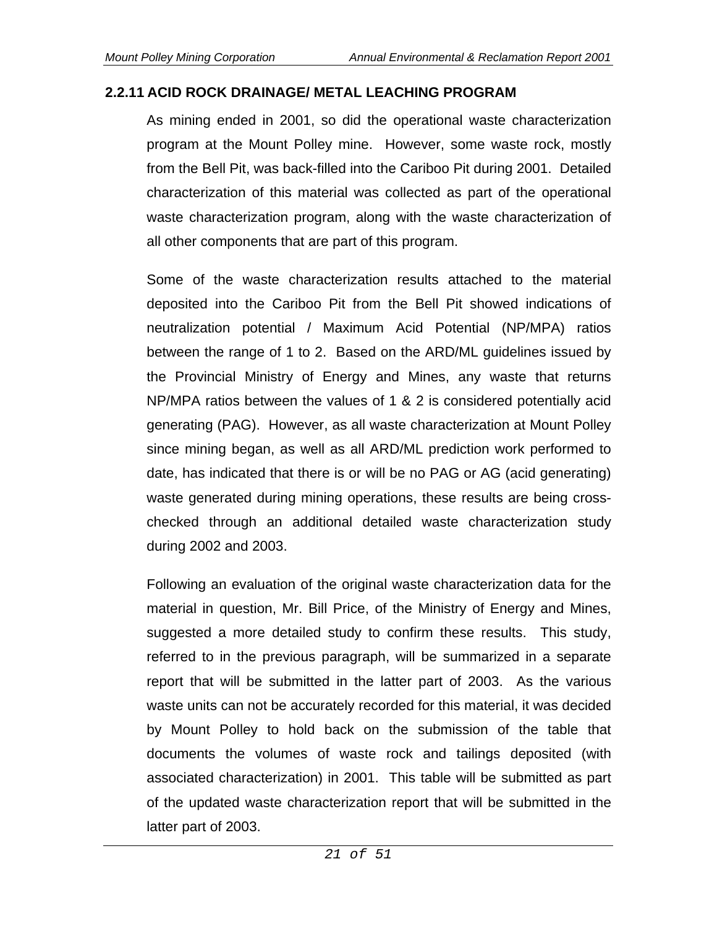#### **2.2.11 ACID ROCK DRAINAGE/ METAL LEACHING PROGRAM**

As mining ended in 2001, so did the operational waste characterization program at the Mount Polley mine. However, some waste rock, mostly from the Bell Pit, was back-filled into the Cariboo Pit during 2001. Detailed characterization of this material was collected as part of the operational waste characterization program, along with the waste characterization of all other components that are part of this program.

Some of the waste characterization results attached to the material deposited into the Cariboo Pit from the Bell Pit showed indications of neutralization potential / Maximum Acid Potential (NP/MPA) ratios between the range of 1 to 2. Based on the ARD/ML guidelines issued by the Provincial Ministry of Energy and Mines, any waste that returns NP/MPA ratios between the values of 1 & 2 is considered potentially acid generating (PAG). However, as all waste characterization at Mount Polley since mining began, as well as all ARD/ML prediction work performed to date, has indicated that there is or will be no PAG or AG (acid generating) waste generated during mining operations, these results are being crosschecked through an additional detailed waste characterization study during 2002 and 2003.

Following an evaluation of the original waste characterization data for the material in question, Mr. Bill Price, of the Ministry of Energy and Mines, suggested a more detailed study to confirm these results. This study, referred to in the previous paragraph, will be summarized in a separate report that will be submitted in the latter part of 2003. As the various waste units can not be accurately recorded for this material, it was decided by Mount Polley to hold back on the submission of the table that documents the volumes of waste rock and tailings deposited (with associated characterization) in 2001. This table will be submitted as part of the updated waste characterization report that will be submitted in the latter part of 2003.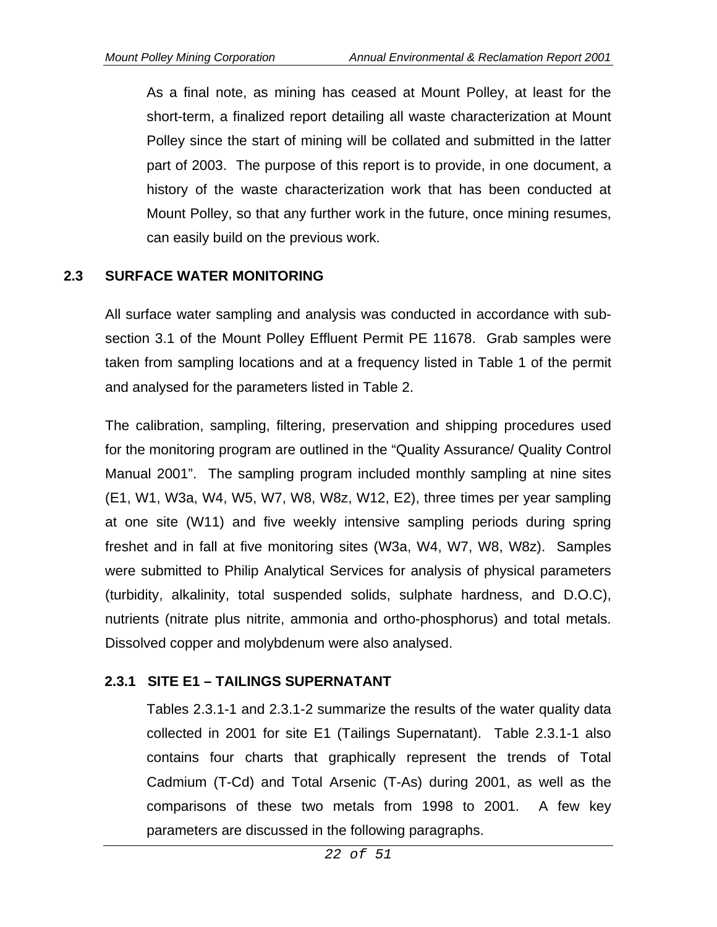As a final note, as mining has ceased at Mount Polley, at least for the short-term, a finalized report detailing all waste characterization at Mount Polley since the start of mining will be collated and submitted in the latter part of 2003. The purpose of this report is to provide, in one document, a history of the waste characterization work that has been conducted at Mount Polley, so that any further work in the future, once mining resumes, can easily build on the previous work.

### **2.3 SURFACE WATER MONITORING**

All surface water sampling and analysis was conducted in accordance with subsection 3.1 of the Mount Polley Effluent Permit PE 11678. Grab samples were taken from sampling locations and at a frequency listed in Table 1 of the permit and analysed for the parameters listed in Table 2.

The calibration, sampling, filtering, preservation and shipping procedures used for the monitoring program are outlined in the "Quality Assurance/ Quality Control Manual 2001". The sampling program included monthly sampling at nine sites (E1, W1, W3a, W4, W5, W7, W8, W8z, W12, E2), three times per year sampling at one site (W11) and five weekly intensive sampling periods during spring freshet and in fall at five monitoring sites (W3a, W4, W7, W8, W8z). Samples were submitted to Philip Analytical Services for analysis of physical parameters (turbidity, alkalinity, total suspended solids, sulphate hardness, and D.O.C), nutrients (nitrate plus nitrite, ammonia and ortho-phosphorus) and total metals. Dissolved copper and molybdenum were also analysed.

### **2.3.1 SITE E1 – TAILINGS SUPERNATANT**

Tables 2.3.1-1 and 2.3.1-2 summarize the results of the water quality data collected in 2001 for site E1 (Tailings Supernatant). Table 2.3.1-1 also contains four charts that graphically represent the trends of Total Cadmium (T-Cd) and Total Arsenic (T-As) during 2001, as well as the comparisons of these two metals from 1998 to 2001. A few key parameters are discussed in the following paragraphs.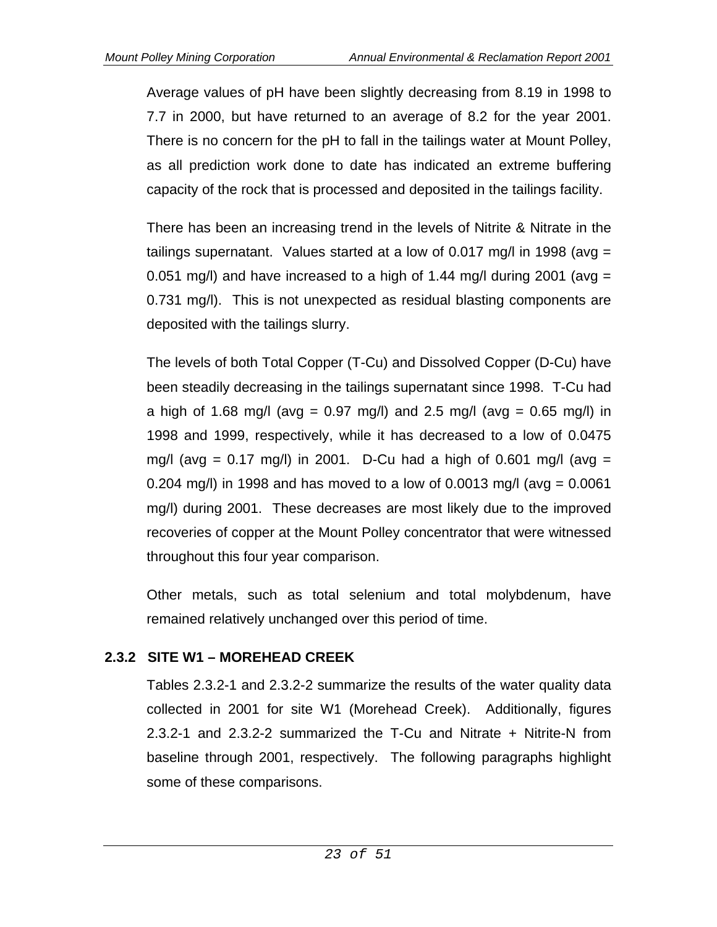Average values of pH have been slightly decreasing from 8.19 in 1998 to 7.7 in 2000, but have returned to an average of 8.2 for the year 2001. There is no concern for the pH to fall in the tailings water at Mount Polley, as all prediction work done to date has indicated an extreme buffering capacity of the rock that is processed and deposited in the tailings facility.

There has been an increasing trend in the levels of Nitrite & Nitrate in the tailings supernatant. Values started at a low of 0.017 mg/l in 1998 (avg = 0.051 mg/l) and have increased to a high of 1.44 mg/l during 2001 (avg  $=$ 0.731 mg/l). This is not unexpected as residual blasting components are deposited with the tailings slurry.

The levels of both Total Copper (T-Cu) and Dissolved Copper (D-Cu) have been steadily decreasing in the tailings supernatant since 1998. T-Cu had a high of 1.68 mg/l (avg = 0.97 mg/l) and 2.5 mg/l (avg = 0.65 mg/l) in 1998 and 1999, respectively, while it has decreased to a low of 0.0475 mg/l (avg =  $0.17$  mg/l) in 2001. D-Cu had a high of 0.601 mg/l (avg = 0.204 mg/l) in 1998 and has moved to a low of 0.0013 mg/l (avg =  $0.0061$ ) mg/l) during 2001. These decreases are most likely due to the improved recoveries of copper at the Mount Polley concentrator that were witnessed throughout this four year comparison.

Other metals, such as total selenium and total molybdenum, have remained relatively unchanged over this period of time.

# **2.3.2 SITE W1 – MOREHEAD CREEK**

Tables 2.3.2-1 and 2.3.2-2 summarize the results of the water quality data collected in 2001 for site W1 (Morehead Creek). Additionally, figures 2.3.2-1 and 2.3.2-2 summarized the T-Cu and Nitrate + Nitrite-N from baseline through 2001, respectively. The following paragraphs highlight some of these comparisons.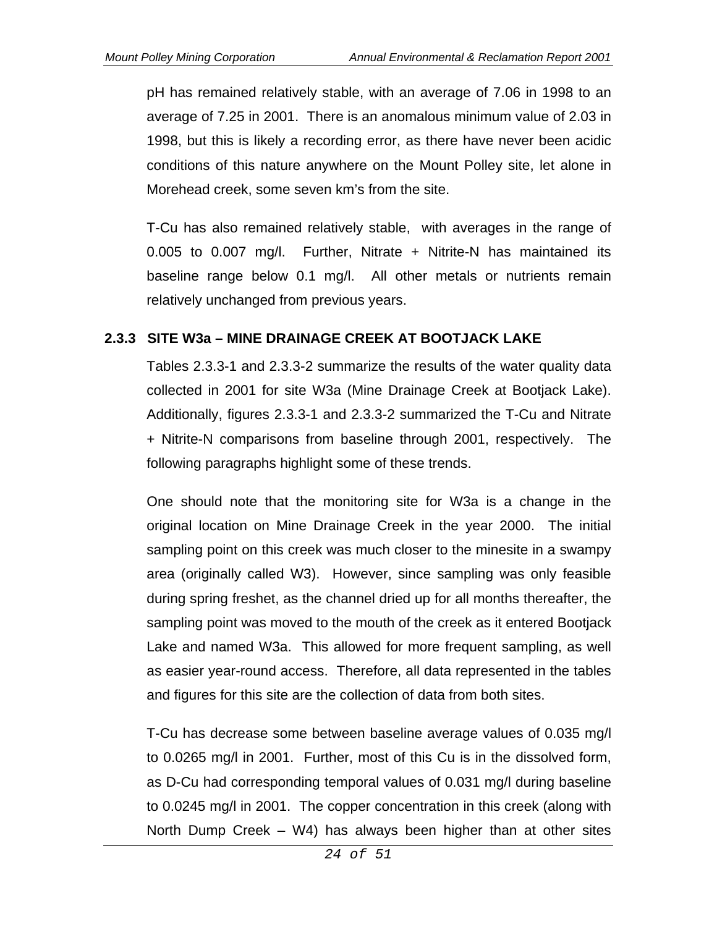pH has remained relatively stable, with an average of 7.06 in 1998 to an average of 7.25 in 2001. There is an anomalous minimum value of 2.03 in 1998, but this is likely a recording error, as there have never been acidic conditions of this nature anywhere on the Mount Polley site, let alone in Morehead creek, some seven km's from the site.

T-Cu has also remained relatively stable, with averages in the range of 0.005 to 0.007 mg/l. Further, Nitrate + Nitrite-N has maintained its baseline range below 0.1 mg/l. All other metals or nutrients remain relatively unchanged from previous years.

#### **2.3.3 SITE W3a – MINE DRAINAGE CREEK AT BOOTJACK LAKE**

Tables 2.3.3-1 and 2.3.3-2 summarize the results of the water quality data collected in 2001 for site W3a (Mine Drainage Creek at Bootjack Lake). Additionally, figures 2.3.3-1 and 2.3.3-2 summarized the T-Cu and Nitrate + Nitrite-N comparisons from baseline through 2001, respectively. The following paragraphs highlight some of these trends.

One should note that the monitoring site for W3a is a change in the original location on Mine Drainage Creek in the year 2000. The initial sampling point on this creek was much closer to the minesite in a swampy area (originally called W3). However, since sampling was only feasible during spring freshet, as the channel dried up for all months thereafter, the sampling point was moved to the mouth of the creek as it entered Bootjack Lake and named W3a. This allowed for more frequent sampling, as well as easier year-round access. Therefore, all data represented in the tables and figures for this site are the collection of data from both sites.

T-Cu has decrease some between baseline average values of 0.035 mg/l to 0.0265 mg/l in 2001. Further, most of this Cu is in the dissolved form, as D-Cu had corresponding temporal values of 0.031 mg/l during baseline to 0.0245 mg/l in 2001. The copper concentration in this creek (along with North Dump Creek – W4) has always been higher than at other sites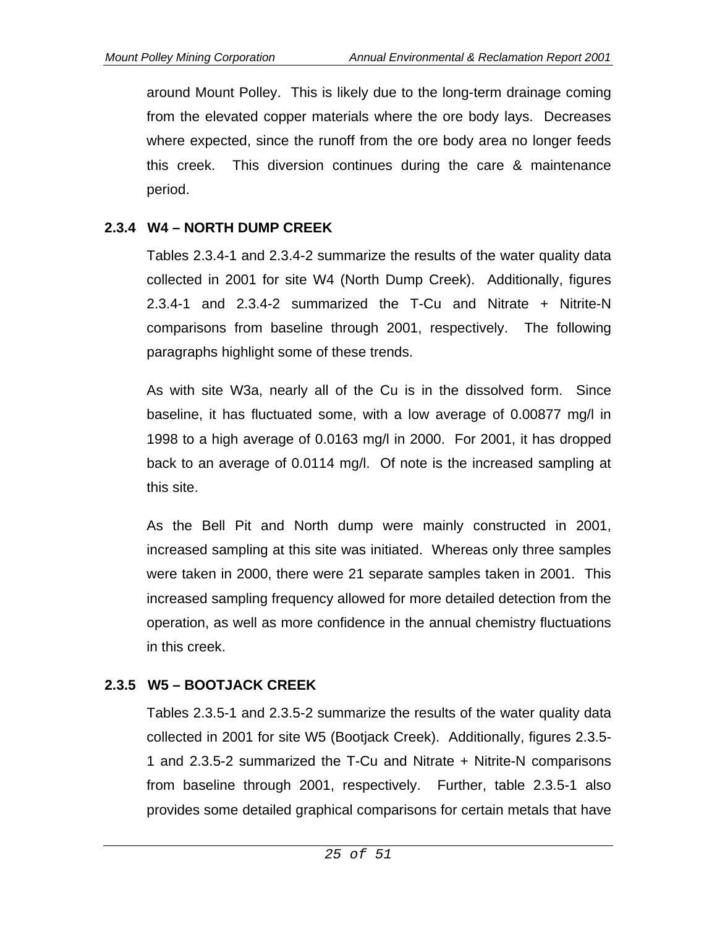around Mount Polley. This is likely due to the long-term drainage coming from the elevated copper materials where the ore body lays. Decreases where expected, since the runoff from the ore body area no longer feeds this creek. This diversion continues during the care & maintenance period.

### **2.3.4 W4 – NORTH DUMP CREEK**

Tables 2.3.4-1 and 2.3.4-2 summarize the results of the water quality data collected in 2001 for site W4 (North Dump Creek). Additionally, figures 2.3.4-1 and 2.3.4-2 summarized the T-Cu and Nitrate + Nitrite-N comparisons from baseline through 2001, respectively. The following paragraphs highlight some of these trends.

As with site W3a, nearly all of the Cu is in the dissolved form. Since baseline, it has fluctuated some, with a low average of 0.00877 mg/l in 1998 to a high average of 0.0163 mg/l in 2000. For 2001, it has dropped back to an average of 0.0114 mg/l. Of note is the increased sampling at this site.

As the Bell Pit and North dump were mainly constructed in 2001, increased sampling at this site was initiated. Whereas only three samples were taken in 2000, there were 21 separate samples taken in 2001. This increased sampling frequency allowed for more detailed detection from the operation, as well as more confidence in the annual chemistry fluctuations in this creek.

# **2.3.5 W5 – BOOTJACK CREEK**

Tables 2.3.5-1 and 2.3.5-2 summarize the results of the water quality data collected in 2001 for site W5 (Bootjack Creek). Additionally, figures 2.3.5- 1 and 2.3.5-2 summarized the T-Cu and Nitrate + Nitrite-N comparisons from baseline through 2001, respectively. Further, table 2.3.5-1 also provides some detailed graphical comparisons for certain metals that have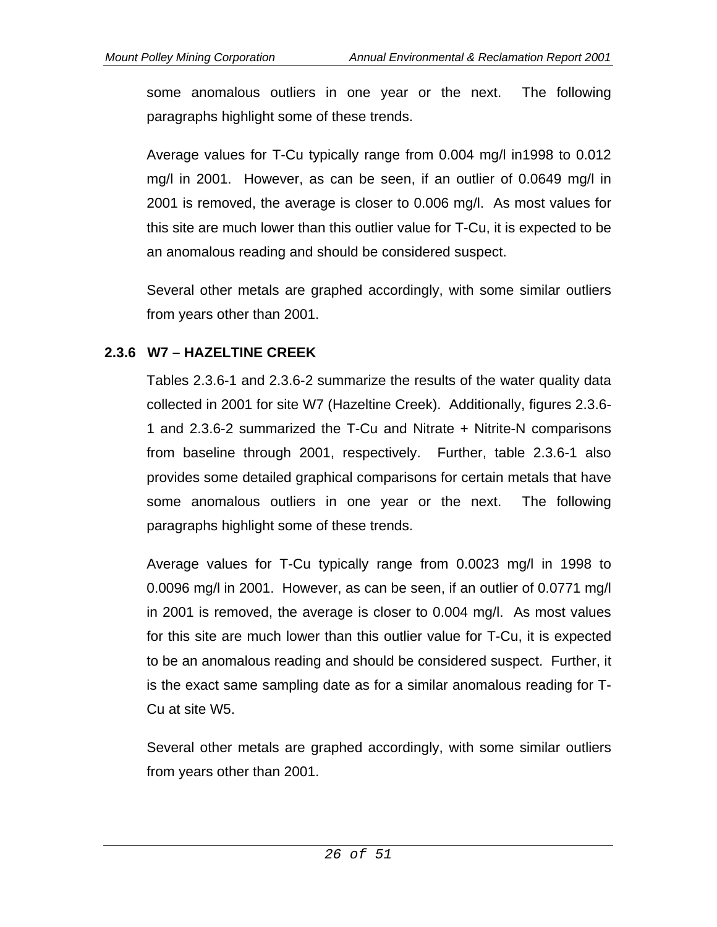some anomalous outliers in one year or the next. The following paragraphs highlight some of these trends.

Average values for T-Cu typically range from 0.004 mg/l in1998 to 0.012 mg/l in 2001. However, as can be seen, if an outlier of 0.0649 mg/l in 2001 is removed, the average is closer to 0.006 mg/l. As most values for this site are much lower than this outlier value for T-Cu, it is expected to be an anomalous reading and should be considered suspect.

Several other metals are graphed accordingly, with some similar outliers from years other than 2001.

# **2.3.6 W7 – HAZELTINE CREEK**

Tables 2.3.6-1 and 2.3.6-2 summarize the results of the water quality data collected in 2001 for site W7 (Hazeltine Creek). Additionally, figures 2.3.6- 1 and 2.3.6-2 summarized the T-Cu and Nitrate + Nitrite-N comparisons from baseline through 2001, respectively. Further, table 2.3.6-1 also provides some detailed graphical comparisons for certain metals that have some anomalous outliers in one year or the next. The following paragraphs highlight some of these trends.

Average values for T-Cu typically range from 0.0023 mg/l in 1998 to 0.0096 mg/l in 2001. However, as can be seen, if an outlier of 0.0771 mg/l in 2001 is removed, the average is closer to 0.004 mg/l. As most values for this site are much lower than this outlier value for T-Cu, it is expected to be an anomalous reading and should be considered suspect. Further, it is the exact same sampling date as for a similar anomalous reading for T-Cu at site W5.

Several other metals are graphed accordingly, with some similar outliers from years other than 2001.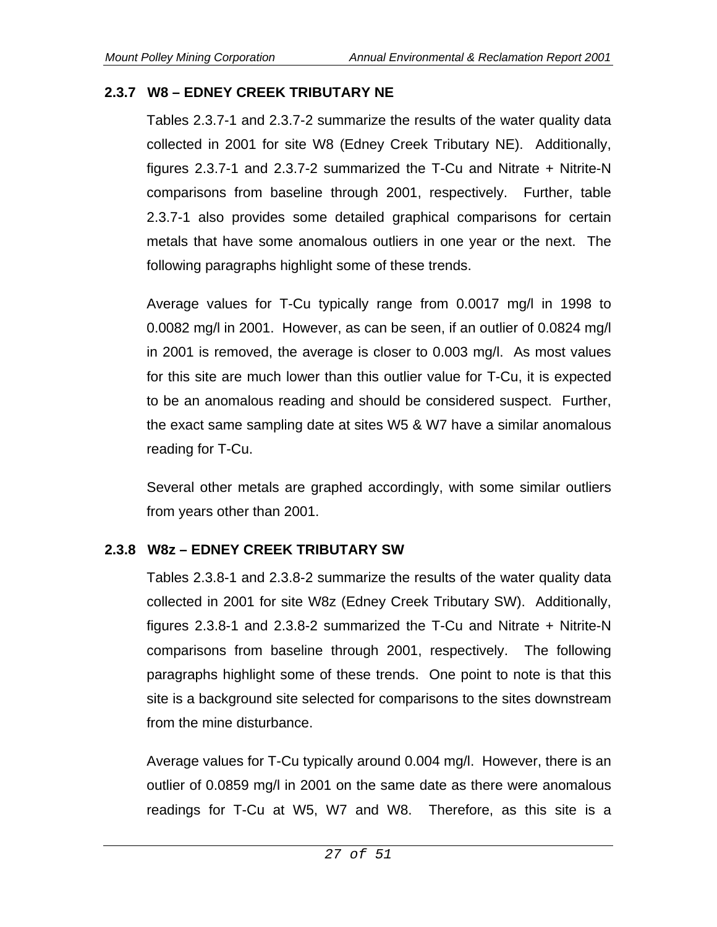### **2.3.7 W8 – EDNEY CREEK TRIBUTARY NE**

Tables 2.3.7-1 and 2.3.7-2 summarize the results of the water quality data collected in 2001 for site W8 (Edney Creek Tributary NE). Additionally, figures 2.3.7-1 and 2.3.7-2 summarized the T-Cu and Nitrate + Nitrite-N comparisons from baseline through 2001, respectively. Further, table 2.3.7-1 also provides some detailed graphical comparisons for certain metals that have some anomalous outliers in one year or the next. The following paragraphs highlight some of these trends.

Average values for T-Cu typically range from 0.0017 mg/l in 1998 to 0.0082 mg/l in 2001. However, as can be seen, if an outlier of 0.0824 mg/l in 2001 is removed, the average is closer to 0.003 mg/l. As most values for this site are much lower than this outlier value for T-Cu, it is expected to be an anomalous reading and should be considered suspect. Further, the exact same sampling date at sites W5 & W7 have a similar anomalous reading for T-Cu.

Several other metals are graphed accordingly, with some similar outliers from years other than 2001.

### **2.3.8 W8z – EDNEY CREEK TRIBUTARY SW**

Tables 2.3.8-1 and 2.3.8-2 summarize the results of the water quality data collected in 2001 for site W8z (Edney Creek Tributary SW). Additionally, figures 2.3.8-1 and 2.3.8-2 summarized the T-Cu and Nitrate + Nitrite-N comparisons from baseline through 2001, respectively. The following paragraphs highlight some of these trends. One point to note is that this site is a background site selected for comparisons to the sites downstream from the mine disturbance.

Average values for T-Cu typically around 0.004 mg/l. However, there is an outlier of 0.0859 mg/l in 2001 on the same date as there were anomalous readings for T-Cu at W5, W7 and W8. Therefore, as this site is a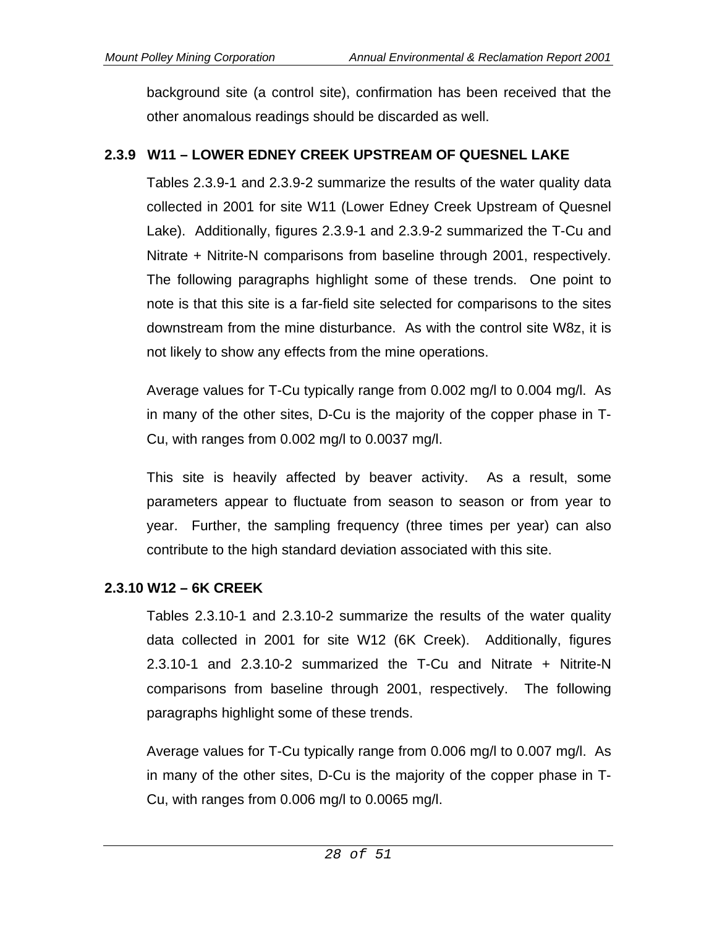background site (a control site), confirmation has been received that the other anomalous readings should be discarded as well.

# **2.3.9 W11 – LOWER EDNEY CREEK UPSTREAM OF QUESNEL LAKE**

Tables 2.3.9-1 and 2.3.9-2 summarize the results of the water quality data collected in 2001 for site W11 (Lower Edney Creek Upstream of Quesnel Lake). Additionally, figures 2.3.9-1 and 2.3.9-2 summarized the T-Cu and Nitrate + Nitrite-N comparisons from baseline through 2001, respectively. The following paragraphs highlight some of these trends. One point to note is that this site is a far-field site selected for comparisons to the sites downstream from the mine disturbance. As with the control site W8z, it is not likely to show any effects from the mine operations.

Average values for T-Cu typically range from 0.002 mg/l to 0.004 mg/l. As in many of the other sites, D-Cu is the majority of the copper phase in T-Cu, with ranges from 0.002 mg/l to 0.0037 mg/l.

This site is heavily affected by beaver activity. As a result, some parameters appear to fluctuate from season to season or from year to year. Further, the sampling frequency (three times per year) can also contribute to the high standard deviation associated with this site.

# **2.3.10 W12 – 6K CREEK**

Tables 2.3.10-1 and 2.3.10-2 summarize the results of the water quality data collected in 2001 for site W12 (6K Creek). Additionally, figures 2.3.10-1 and 2.3.10-2 summarized the T-Cu and Nitrate + Nitrite-N comparisons from baseline through 2001, respectively. The following paragraphs highlight some of these trends.

Average values for T-Cu typically range from 0.006 mg/l to 0.007 mg/l. As in many of the other sites, D-Cu is the majority of the copper phase in T-Cu, with ranges from 0.006 mg/l to 0.0065 mg/l.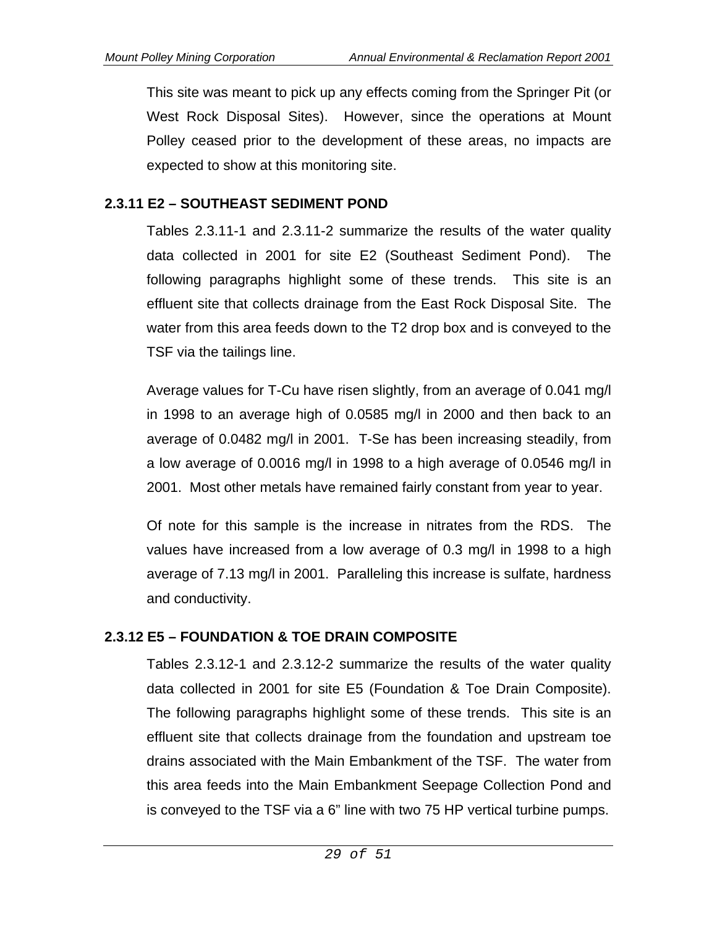This site was meant to pick up any effects coming from the Springer Pit (or West Rock Disposal Sites). However, since the operations at Mount Polley ceased prior to the development of these areas, no impacts are expected to show at this monitoring site.

# **2.3.11 E2 – SOUTHEAST SEDIMENT POND**

Tables 2.3.11-1 and 2.3.11-2 summarize the results of the water quality data collected in 2001 for site E2 (Southeast Sediment Pond). The following paragraphs highlight some of these trends. This site is an effluent site that collects drainage from the East Rock Disposal Site. The water from this area feeds down to the T2 drop box and is conveyed to the TSF via the tailings line.

Average values for T-Cu have risen slightly, from an average of 0.041 mg/l in 1998 to an average high of 0.0585 mg/l in 2000 and then back to an average of 0.0482 mg/l in 2001. T-Se has been increasing steadily, from a low average of 0.0016 mg/l in 1998 to a high average of 0.0546 mg/l in 2001. Most other metals have remained fairly constant from year to year.

Of note for this sample is the increase in nitrates from the RDS. The values have increased from a low average of 0.3 mg/l in 1998 to a high average of 7.13 mg/l in 2001. Paralleling this increase is sulfate, hardness and conductivity.

### **2.3.12 E5 – FOUNDATION & TOE DRAIN COMPOSITE**

Tables 2.3.12-1 and 2.3.12-2 summarize the results of the water quality data collected in 2001 for site E5 (Foundation & Toe Drain Composite). The following paragraphs highlight some of these trends. This site is an effluent site that collects drainage from the foundation and upstream toe drains associated with the Main Embankment of the TSF. The water from this area feeds into the Main Embankment Seepage Collection Pond and is conveyed to the TSF via a 6" line with two 75 HP vertical turbine pumps.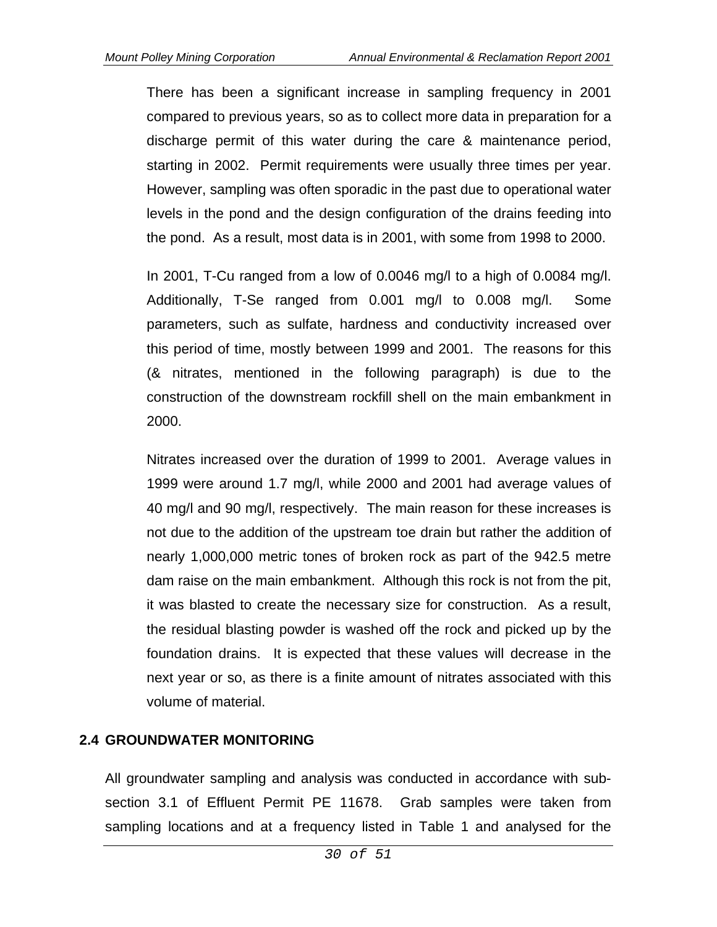There has been a significant increase in sampling frequency in 2001 compared to previous years, so as to collect more data in preparation for a discharge permit of this water during the care & maintenance period, starting in 2002. Permit requirements were usually three times per year. However, sampling was often sporadic in the past due to operational water levels in the pond and the design configuration of the drains feeding into the pond. As a result, most data is in 2001, with some from 1998 to 2000.

In 2001, T-Cu ranged from a low of 0.0046 mg/l to a high of 0.0084 mg/l. Additionally, T-Se ranged from 0.001 mg/l to 0.008 mg/l. Some parameters, such as sulfate, hardness and conductivity increased over this period of time, mostly between 1999 and 2001. The reasons for this (& nitrates, mentioned in the following paragraph) is due to the construction of the downstream rockfill shell on the main embankment in 2000.

Nitrates increased over the duration of 1999 to 2001. Average values in 1999 were around 1.7 mg/l, while 2000 and 2001 had average values of 40 mg/l and 90 mg/l, respectively. The main reason for these increases is not due to the addition of the upstream toe drain but rather the addition of nearly 1,000,000 metric tones of broken rock as part of the 942.5 metre dam raise on the main embankment. Although this rock is not from the pit, it was blasted to create the necessary size for construction. As a result, the residual blasting powder is washed off the rock and picked up by the foundation drains. It is expected that these values will decrease in the next year or so, as there is a finite amount of nitrates associated with this volume of material.

### **2.4 GROUNDWATER MONITORING**

All groundwater sampling and analysis was conducted in accordance with subsection 3.1 of Effluent Permit PE 11678. Grab samples were taken from sampling locations and at a frequency listed in Table 1 and analysed for the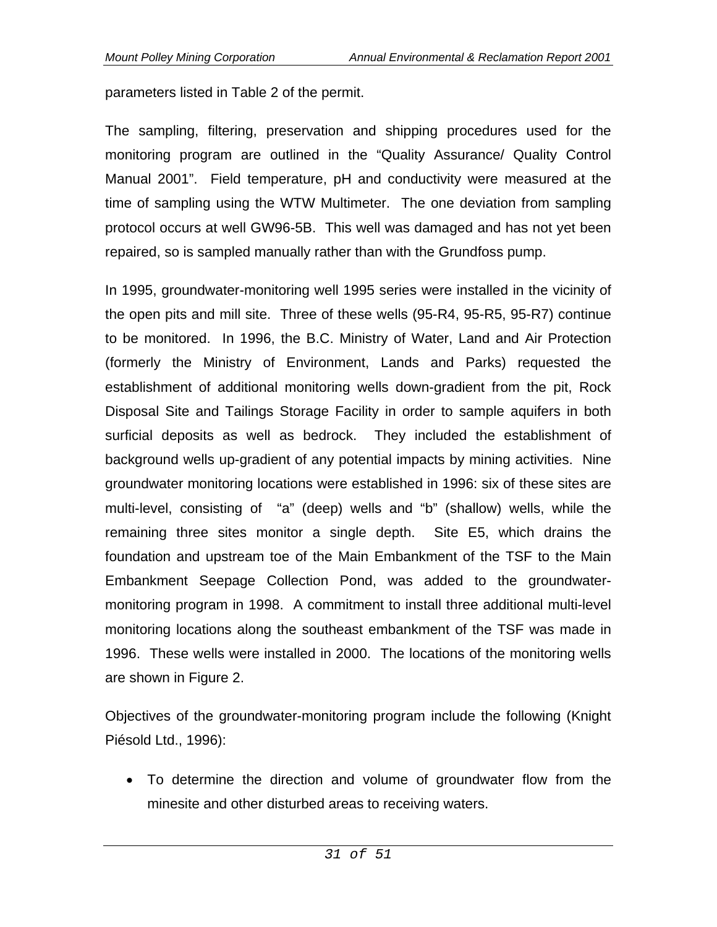parameters listed in Table 2 of the permit.

The sampling, filtering, preservation and shipping procedures used for the monitoring program are outlined in the "Quality Assurance/ Quality Control Manual 2001". Field temperature, pH and conductivity were measured at the time of sampling using the WTW Multimeter. The one deviation from sampling protocol occurs at well GW96-5B. This well was damaged and has not yet been repaired, so is sampled manually rather than with the Grundfoss pump.

In 1995, groundwater-monitoring well 1995 series were installed in the vicinity of the open pits and mill site. Three of these wells (95-R4, 95-R5, 95-R7) continue to be monitored. In 1996, the B.C. Ministry of Water, Land and Air Protection (formerly the Ministry of Environment, Lands and Parks) requested the establishment of additional monitoring wells down-gradient from the pit, Rock Disposal Site and Tailings Storage Facility in order to sample aquifers in both surficial deposits as well as bedrock. They included the establishment of background wells up-gradient of any potential impacts by mining activities. Nine groundwater monitoring locations were established in 1996: six of these sites are multi-level, consisting of "a" (deep) wells and "b" (shallow) wells, while the remaining three sites monitor a single depth. Site E5, which drains the foundation and upstream toe of the Main Embankment of the TSF to the Main Embankment Seepage Collection Pond, was added to the groundwatermonitoring program in 1998. A commitment to install three additional multi-level monitoring locations along the southeast embankment of the TSF was made in 1996. These wells were installed in 2000. The locations of the monitoring wells are shown in Figure 2.

Objectives of the groundwater-monitoring program include the following (Knight Piésold Ltd., 1996):

 To determine the direction and volume of groundwater flow from the minesite and other disturbed areas to receiving waters.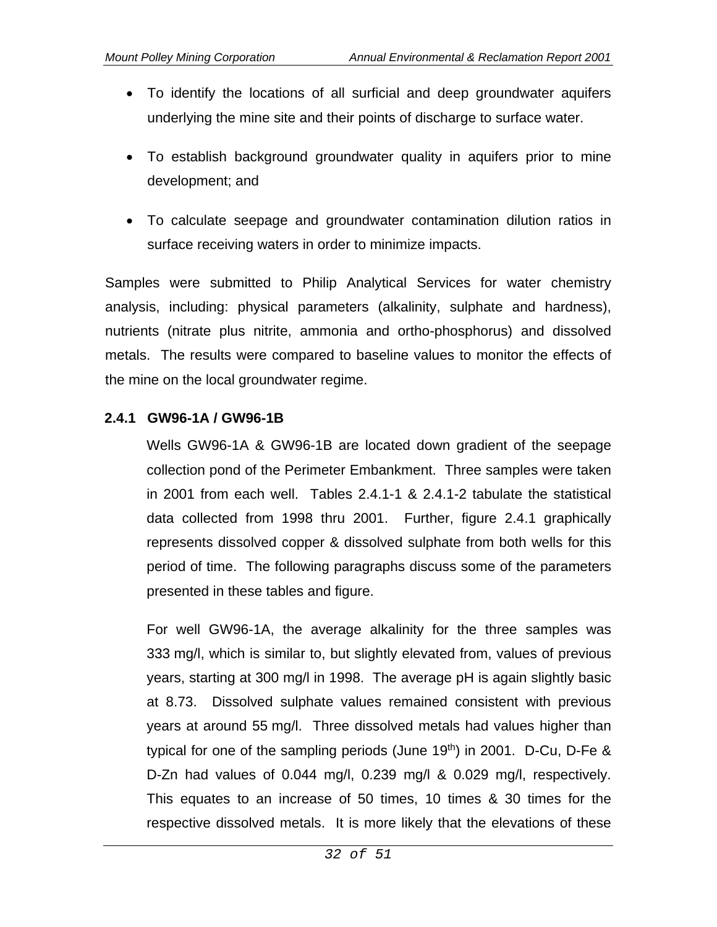- To identify the locations of all surficial and deep groundwater aquifers underlying the mine site and their points of discharge to surface water.
- To establish background groundwater quality in aquifers prior to mine development; and
- To calculate seepage and groundwater contamination dilution ratios in surface receiving waters in order to minimize impacts.

Samples were submitted to Philip Analytical Services for water chemistry analysis, including: physical parameters (alkalinity, sulphate and hardness), nutrients (nitrate plus nitrite, ammonia and ortho-phosphorus) and dissolved metals. The results were compared to baseline values to monitor the effects of the mine on the local groundwater regime.

#### **2.4.1 GW96-1A / GW96-1B**

Wells GW96-1A & GW96-1B are located down gradient of the seepage collection pond of the Perimeter Embankment. Three samples were taken in 2001 from each well. Tables 2.4.1-1 & 2.4.1-2 tabulate the statistical data collected from 1998 thru 2001. Further, figure 2.4.1 graphically represents dissolved copper & dissolved sulphate from both wells for this period of time. The following paragraphs discuss some of the parameters presented in these tables and figure.

For well GW96-1A, the average alkalinity for the three samples was 333 mg/l, which is similar to, but slightly elevated from, values of previous years, starting at 300 mg/l in 1998. The average pH is again slightly basic at 8.73. Dissolved sulphate values remained consistent with previous years at around 55 mg/l. Three dissolved metals had values higher than typical for one of the sampling periods (June 19<sup>th</sup>) in 2001. D-Cu, D-Fe  $\&$ D-Zn had values of 0.044 mg/l, 0.239 mg/l & 0.029 mg/l, respectively. This equates to an increase of 50 times, 10 times & 30 times for the respective dissolved metals. It is more likely that the elevations of these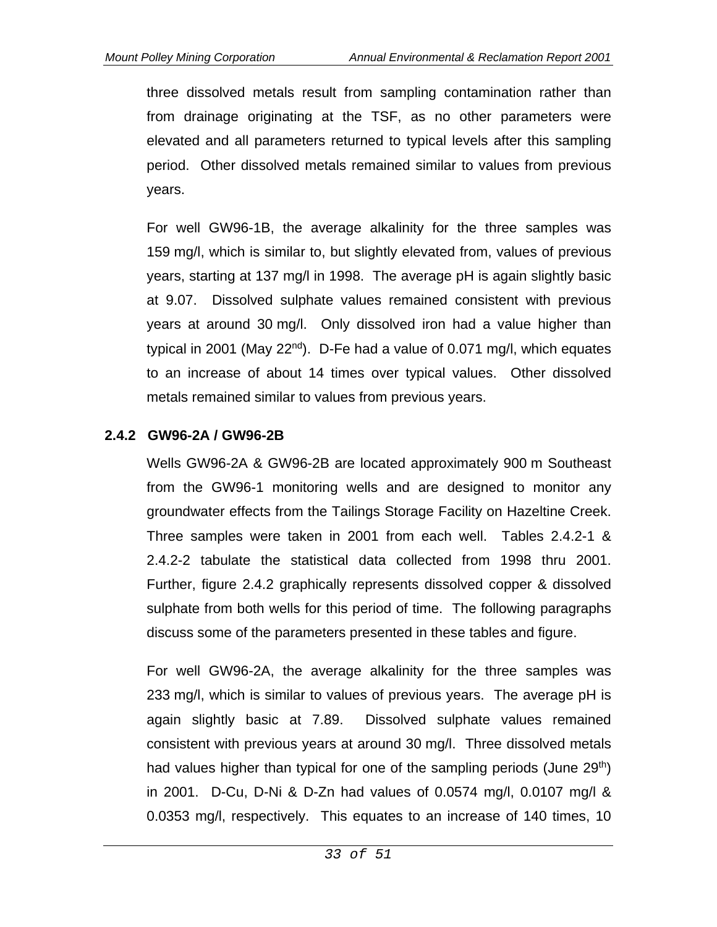three dissolved metals result from sampling contamination rather than from drainage originating at the TSF, as no other parameters were elevated and all parameters returned to typical levels after this sampling period. Other dissolved metals remained similar to values from previous years.

For well GW96-1B, the average alkalinity for the three samples was 159 mg/l, which is similar to, but slightly elevated from, values of previous years, starting at 137 mg/l in 1998. The average pH is again slightly basic at 9.07. Dissolved sulphate values remained consistent with previous years at around 30 mg/l. Only dissolved iron had a value higher than typical in 2001 (May  $22<sup>nd</sup>$ ). D-Fe had a value of 0.071 mg/l, which equates to an increase of about 14 times over typical values. Other dissolved metals remained similar to values from previous years.

#### **2.4.2 GW96-2A / GW96-2B**

Wells GW96-2A & GW96-2B are located approximately 900 m Southeast from the GW96-1 monitoring wells and are designed to monitor any groundwater effects from the Tailings Storage Facility on Hazeltine Creek. Three samples were taken in 2001 from each well. Tables 2.4.2-1 & 2.4.2-2 tabulate the statistical data collected from 1998 thru 2001. Further, figure 2.4.2 graphically represents dissolved copper & dissolved sulphate from both wells for this period of time. The following paragraphs discuss some of the parameters presented in these tables and figure.

For well GW96-2A, the average alkalinity for the three samples was 233 mg/l, which is similar to values of previous years. The average pH is again slightly basic at 7.89. Dissolved sulphate values remained consistent with previous years at around 30 mg/l. Three dissolved metals had values higher than typical for one of the sampling periods (June 29<sup>th</sup>) in 2001. D-Cu, D-Ni & D-Zn had values of 0.0574 mg/l, 0.0107 mg/l & 0.0353 mg/l, respectively. This equates to an increase of 140 times, 10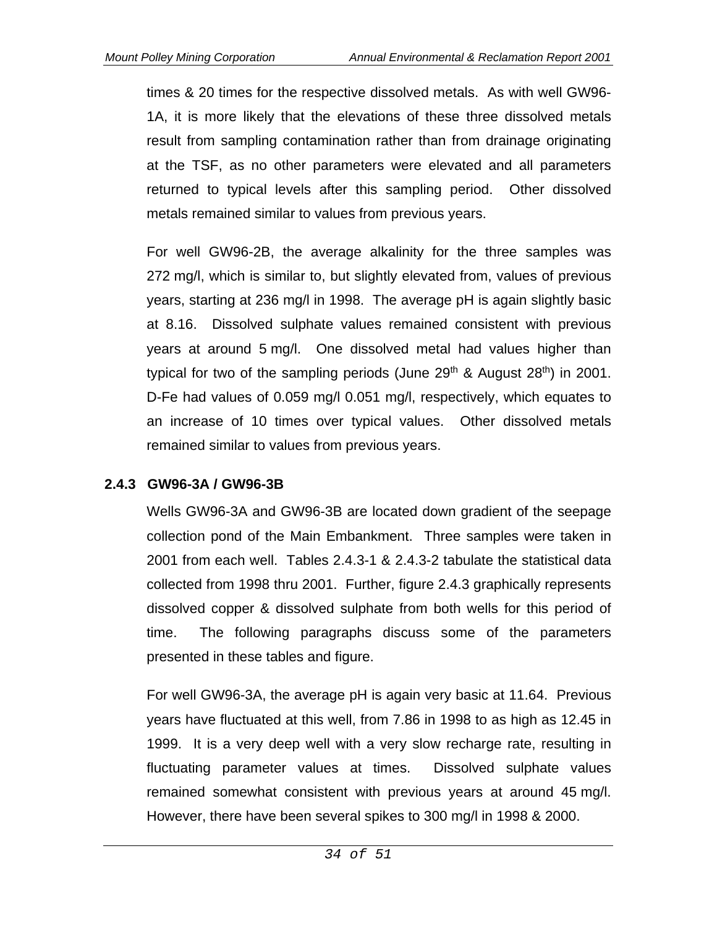times & 20 times for the respective dissolved metals. As with well GW96- 1A, it is more likely that the elevations of these three dissolved metals result from sampling contamination rather than from drainage originating at the TSF, as no other parameters were elevated and all parameters returned to typical levels after this sampling period. Other dissolved metals remained similar to values from previous years.

For well GW96-2B, the average alkalinity for the three samples was 272 mg/l, which is similar to, but slightly elevated from, values of previous years, starting at 236 mg/l in 1998. The average pH is again slightly basic at 8.16. Dissolved sulphate values remained consistent with previous years at around 5 mg/l. One dissolved metal had values higher than typical for two of the sampling periods (June  $29<sup>th</sup>$  & August  $28<sup>th</sup>$ ) in 2001. D-Fe had values of 0.059 mg/l 0.051 mg/l, respectively, which equates to an increase of 10 times over typical values. Other dissolved metals remained similar to values from previous years.

### **2.4.3 GW96-3A / GW96-3B**

Wells GW96-3A and GW96-3B are located down gradient of the seepage collection pond of the Main Embankment. Three samples were taken in 2001 from each well. Tables 2.4.3-1 & 2.4.3-2 tabulate the statistical data collected from 1998 thru 2001. Further, figure 2.4.3 graphically represents dissolved copper & dissolved sulphate from both wells for this period of time. The following paragraphs discuss some of the parameters presented in these tables and figure.

For well GW96-3A, the average pH is again very basic at 11.64. Previous years have fluctuated at this well, from 7.86 in 1998 to as high as 12.45 in 1999. It is a very deep well with a very slow recharge rate, resulting in fluctuating parameter values at times. Dissolved sulphate values remained somewhat consistent with previous years at around 45 mg/l. However, there have been several spikes to 300 mg/l in 1998 & 2000.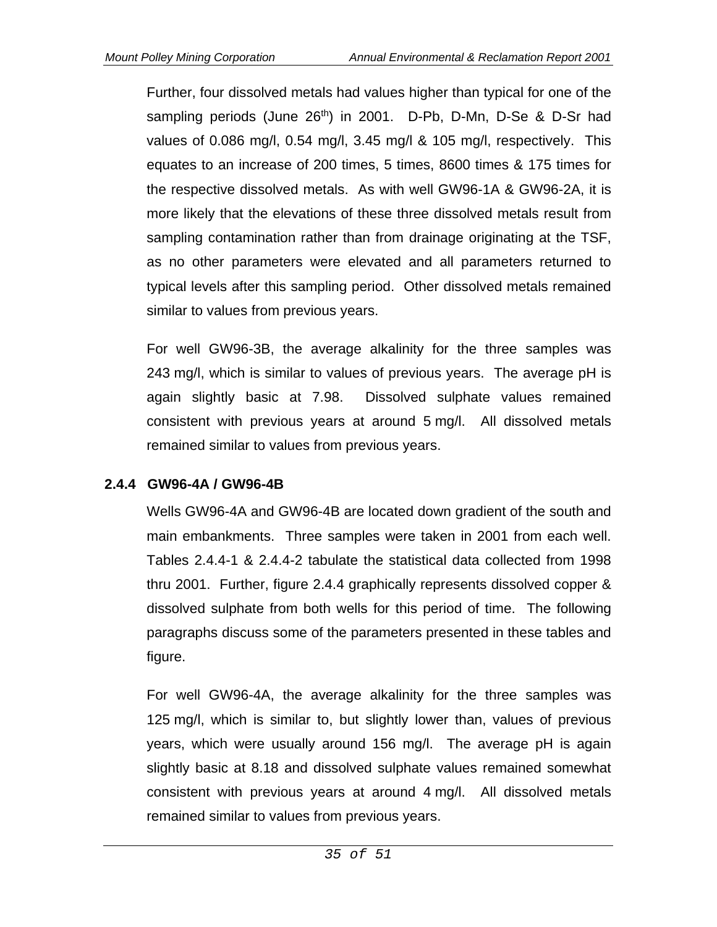Further, four dissolved metals had values higher than typical for one of the sampling periods (June 26<sup>th</sup>) in 2001. D-Pb, D-Mn, D-Se & D-Sr had values of 0.086 mg/l, 0.54 mg/l, 3.45 mg/l & 105 mg/l, respectively. This equates to an increase of 200 times, 5 times, 8600 times & 175 times for the respective dissolved metals. As with well GW96-1A & GW96-2A, it is more likely that the elevations of these three dissolved metals result from sampling contamination rather than from drainage originating at the TSF, as no other parameters were elevated and all parameters returned to typical levels after this sampling period. Other dissolved metals remained similar to values from previous years.

For well GW96-3B, the average alkalinity for the three samples was 243 mg/l, which is similar to values of previous years. The average pH is again slightly basic at 7.98. Dissolved sulphate values remained consistent with previous years at around 5 mg/l. All dissolved metals remained similar to values from previous years.

### **2.4.4 GW96-4A / GW96-4B**

Wells GW96-4A and GW96-4B are located down gradient of the south and main embankments. Three samples were taken in 2001 from each well. Tables 2.4.4-1 & 2.4.4-2 tabulate the statistical data collected from 1998 thru 2001. Further, figure 2.4.4 graphically represents dissolved copper & dissolved sulphate from both wells for this period of time. The following paragraphs discuss some of the parameters presented in these tables and figure.

For well GW96-4A, the average alkalinity for the three samples was 125 mg/l, which is similar to, but slightly lower than, values of previous years, which were usually around 156 mg/l. The average pH is again slightly basic at 8.18 and dissolved sulphate values remained somewhat consistent with previous years at around 4 mg/l. All dissolved metals remained similar to values from previous years.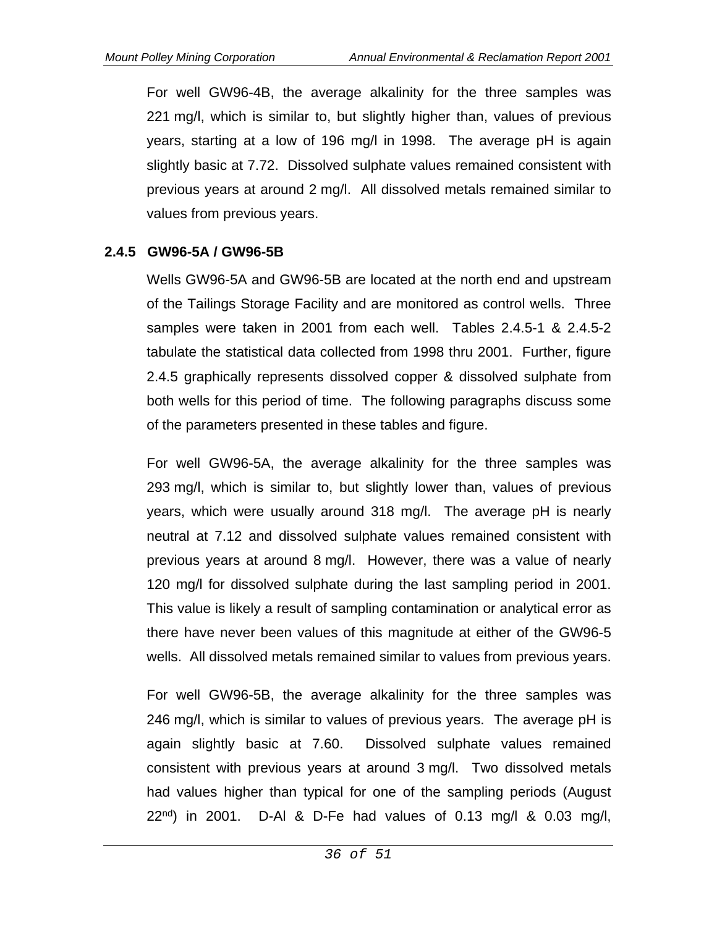For well GW96-4B, the average alkalinity for the three samples was 221 mg/l, which is similar to, but slightly higher than, values of previous years, starting at a low of 196 mg/l in 1998. The average pH is again slightly basic at 7.72. Dissolved sulphate values remained consistent with previous years at around 2 mg/l. All dissolved metals remained similar to values from previous years.

#### **2.4.5 GW96-5A / GW96-5B**

Wells GW96-5A and GW96-5B are located at the north end and upstream of the Tailings Storage Facility and are monitored as control wells. Three samples were taken in 2001 from each well. Tables 2.4.5-1 & 2.4.5-2 tabulate the statistical data collected from 1998 thru 2001. Further, figure 2.4.5 graphically represents dissolved copper & dissolved sulphate from both wells for this period of time. The following paragraphs discuss some of the parameters presented in these tables and figure.

For well GW96-5A, the average alkalinity for the three samples was 293 mg/l, which is similar to, but slightly lower than, values of previous years, which were usually around 318 mg/l. The average pH is nearly neutral at 7.12 and dissolved sulphate values remained consistent with previous years at around 8 mg/l. However, there was a value of nearly 120 mg/l for dissolved sulphate during the last sampling period in 2001. This value is likely a result of sampling contamination or analytical error as there have never been values of this magnitude at either of the GW96-5 wells. All dissolved metals remained similar to values from previous years.

For well GW96-5B, the average alkalinity for the three samples was 246 mg/l, which is similar to values of previous years. The average pH is again slightly basic at 7.60. Dissolved sulphate values remained consistent with previous years at around 3 mg/l. Two dissolved metals had values higher than typical for one of the sampling periods (August 22<sup>nd</sup>) in 2001. D-Al & D-Fe had values of 0.13 mg/l & 0.03 mg/l,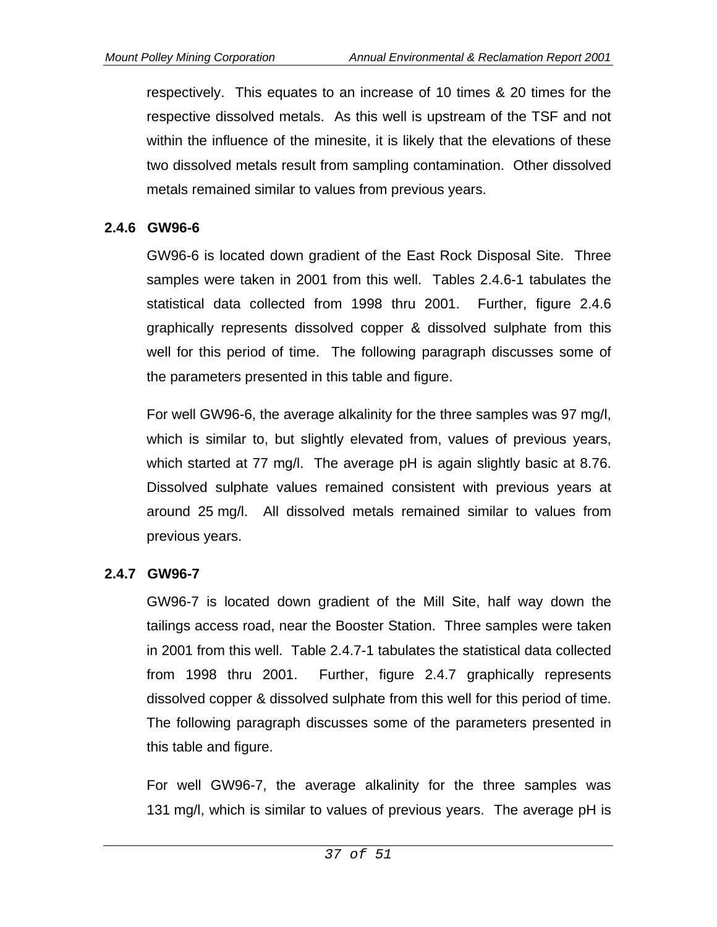respectively. This equates to an increase of 10 times & 20 times for the respective dissolved metals. As this well is upstream of the TSF and not within the influence of the minesite, it is likely that the elevations of these two dissolved metals result from sampling contamination. Other dissolved metals remained similar to values from previous years.

### **2.4.6 GW96-6**

GW96-6 is located down gradient of the East Rock Disposal Site. Three samples were taken in 2001 from this well. Tables 2.4.6-1 tabulates the statistical data collected from 1998 thru 2001. Further, figure 2.4.6 graphically represents dissolved copper & dissolved sulphate from this well for this period of time. The following paragraph discusses some of the parameters presented in this table and figure.

For well GW96-6, the average alkalinity for the three samples was 97 mg/l, which is similar to, but slightly elevated from, values of previous years, which started at 77 mg/l. The average pH is again slightly basic at 8.76. Dissolved sulphate values remained consistent with previous years at around 25 mg/l. All dissolved metals remained similar to values from previous years.

# **2.4.7 GW96-7**

GW96-7 is located down gradient of the Mill Site, half way down the tailings access road, near the Booster Station. Three samples were taken in 2001 from this well. Table 2.4.7-1 tabulates the statistical data collected from 1998 thru 2001. Further, figure 2.4.7 graphically represents dissolved copper & dissolved sulphate from this well for this period of time. The following paragraph discusses some of the parameters presented in this table and figure.

For well GW96-7, the average alkalinity for the three samples was 131 mg/l, which is similar to values of previous years. The average pH is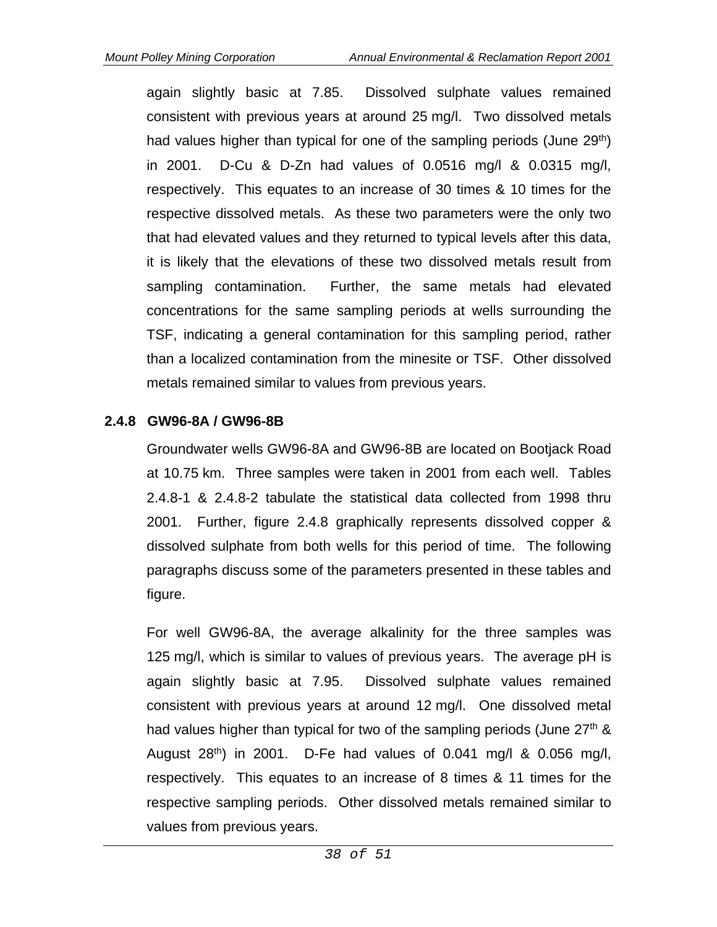again slightly basic at 7.85. Dissolved sulphate values remained consistent with previous years at around 25 mg/l. Two dissolved metals had values higher than typical for one of the sampling periods (June 29<sup>th</sup>) in 2001. D-Cu & D-Zn had values of 0.0516 mg/l & 0.0315 mg/l, respectively. This equates to an increase of 30 times & 10 times for the respective dissolved metals. As these two parameters were the only two that had elevated values and they returned to typical levels after this data, it is likely that the elevations of these two dissolved metals result from sampling contamination. Further, the same metals had elevated concentrations for the same sampling periods at wells surrounding the TSF, indicating a general contamination for this sampling period, rather than a localized contamination from the minesite or TSF. Other dissolved metals remained similar to values from previous years.

### **2.4.8 GW96-8A / GW96-8B**

Groundwater wells GW96-8A and GW96-8B are located on Bootjack Road at 10.75 km. Three samples were taken in 2001 from each well. Tables 2.4.8-1 & 2.4.8-2 tabulate the statistical data collected from 1998 thru 2001. Further, figure 2.4.8 graphically represents dissolved copper & dissolved sulphate from both wells for this period of time. The following paragraphs discuss some of the parameters presented in these tables and figure.

For well GW96-8A, the average alkalinity for the three samples was 125 mg/l, which is similar to values of previous years. The average pH is again slightly basic at 7.95. Dissolved sulphate values remained consistent with previous years at around 12 mg/l. One dissolved metal had values higher than typical for two of the sampling periods (June 27<sup>th</sup> & August  $28<sup>th</sup>$  in 2001. D-Fe had values of 0.041 mg/l & 0.056 mg/l, respectively. This equates to an increase of 8 times & 11 times for the respective sampling periods. Other dissolved metals remained similar to values from previous years.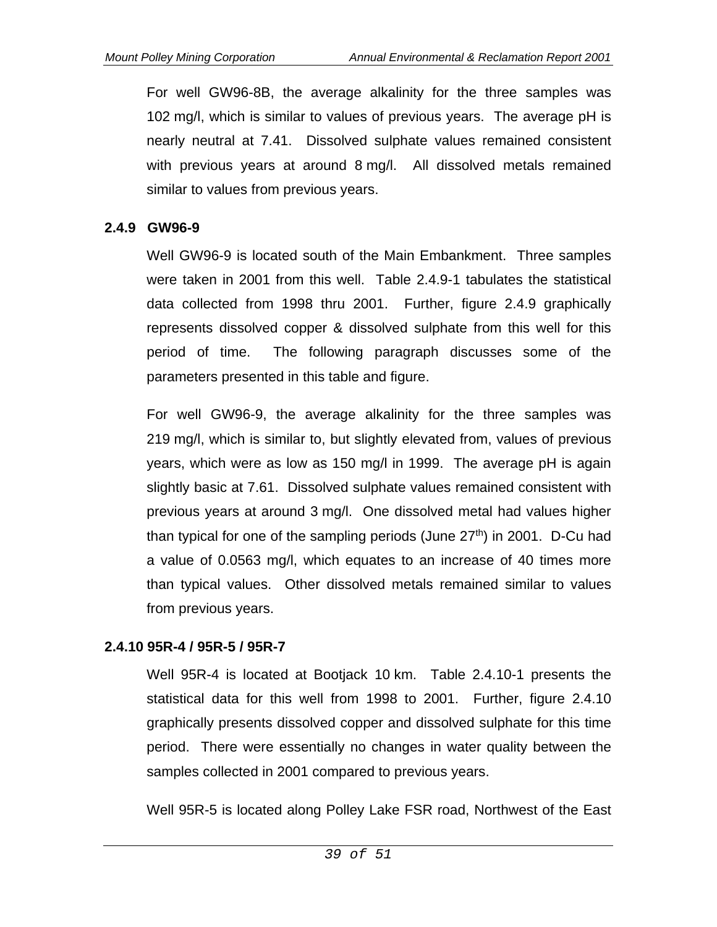For well GW96-8B, the average alkalinity for the three samples was 102 mg/l, which is similar to values of previous years. The average pH is nearly neutral at 7.41. Dissolved sulphate values remained consistent with previous years at around 8 mg/l. All dissolved metals remained similar to values from previous years.

#### **2.4.9 GW96-9**

Well GW96-9 is located south of the Main Embankment. Three samples were taken in 2001 from this well. Table 2.4.9-1 tabulates the statistical data collected from 1998 thru 2001. Further, figure 2.4.9 graphically represents dissolved copper & dissolved sulphate from this well for this period of time. The following paragraph discusses some of the parameters presented in this table and figure.

For well GW96-9, the average alkalinity for the three samples was 219 mg/l, which is similar to, but slightly elevated from, values of previous years, which were as low as 150 mg/l in 1999. The average pH is again slightly basic at 7.61. Dissolved sulphate values remained consistent with previous years at around 3 mg/l. One dissolved metal had values higher than typical for one of the sampling periods (June  $27<sup>th</sup>$ ) in 2001. D-Cu had a value of 0.0563 mg/l, which equates to an increase of 40 times more than typical values. Other dissolved metals remained similar to values from previous years.

### **2.4.10 95R-4 / 95R-5 / 95R-7**

Well 95R-4 is located at Bootjack 10 km. Table 2.4.10-1 presents the statistical data for this well from 1998 to 2001. Further, figure 2.4.10 graphically presents dissolved copper and dissolved sulphate for this time period. There were essentially no changes in water quality between the samples collected in 2001 compared to previous years.

Well 95R-5 is located along Polley Lake FSR road, Northwest of the East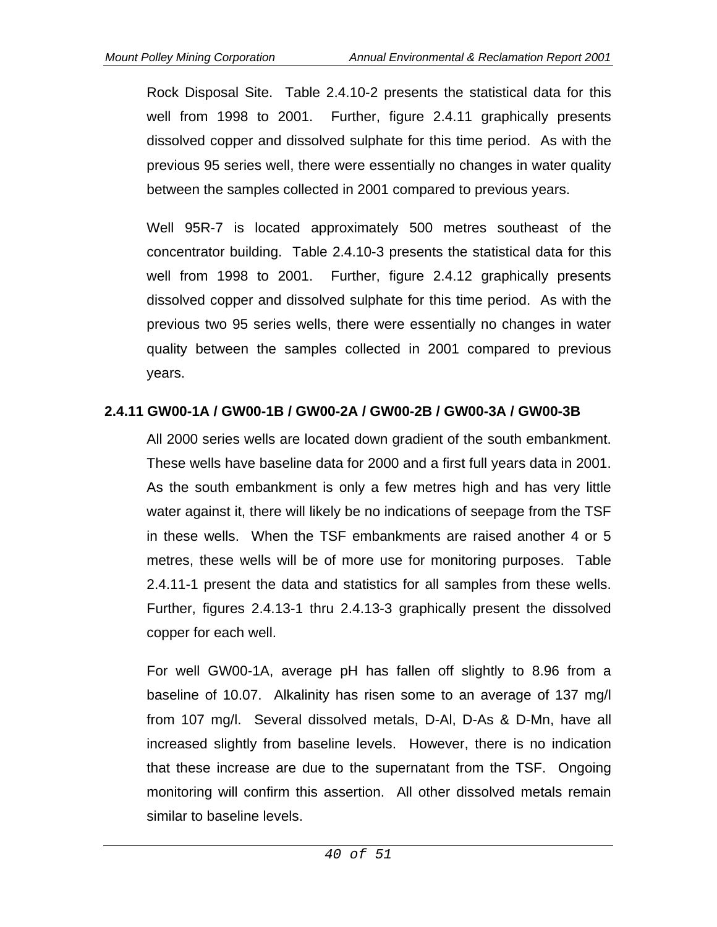Rock Disposal Site. Table 2.4.10-2 presents the statistical data for this well from 1998 to 2001. Further, figure 2.4.11 graphically presents dissolved copper and dissolved sulphate for this time period. As with the previous 95 series well, there were essentially no changes in water quality between the samples collected in 2001 compared to previous years.

Well 95R-7 is located approximately 500 metres southeast of the concentrator building. Table 2.4.10-3 presents the statistical data for this well from 1998 to 2001. Further, figure 2.4.12 graphically presents dissolved copper and dissolved sulphate for this time period. As with the previous two 95 series wells, there were essentially no changes in water quality between the samples collected in 2001 compared to previous years.

### **2.4.11 GW00-1A / GW00-1B / GW00-2A / GW00-2B / GW00-3A / GW00-3B**

All 2000 series wells are located down gradient of the south embankment. These wells have baseline data for 2000 and a first full years data in 2001. As the south embankment is only a few metres high and has very little water against it, there will likely be no indications of seepage from the TSF in these wells. When the TSF embankments are raised another 4 or 5 metres, these wells will be of more use for monitoring purposes. Table 2.4.11-1 present the data and statistics for all samples from these wells. Further, figures 2.4.13-1 thru 2.4.13-3 graphically present the dissolved copper for each well.

For well GW00-1A, average pH has fallen off slightly to 8.96 from a baseline of 10.07. Alkalinity has risen some to an average of 137 mg/l from 107 mg/l. Several dissolved metals, D-Al, D-As & D-Mn, have all increased slightly from baseline levels. However, there is no indication that these increase are due to the supernatant from the TSF. Ongoing monitoring will confirm this assertion. All other dissolved metals remain similar to baseline levels.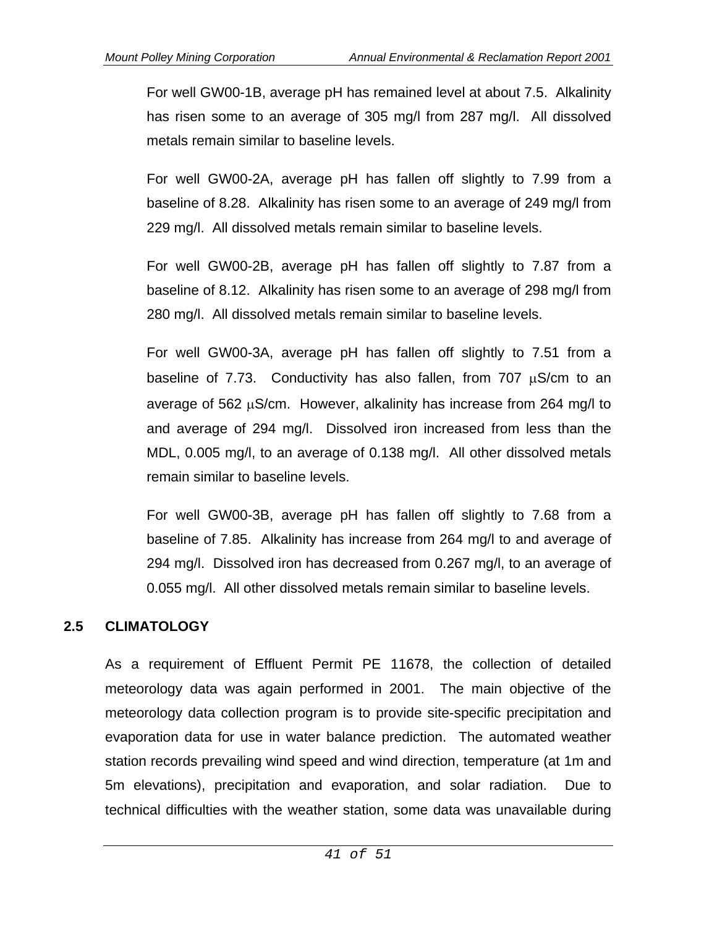For well GW00-1B, average pH has remained level at about 7.5. Alkalinity has risen some to an average of 305 mg/l from 287 mg/l. All dissolved metals remain similar to baseline levels.

For well GW00-2A, average pH has fallen off slightly to 7.99 from a baseline of 8.28. Alkalinity has risen some to an average of 249 mg/l from 229 mg/l. All dissolved metals remain similar to baseline levels.

For well GW00-2B, average pH has fallen off slightly to 7.87 from a baseline of 8.12. Alkalinity has risen some to an average of 298 mg/l from 280 mg/l. All dissolved metals remain similar to baseline levels.

For well GW00-3A, average pH has fallen off slightly to 7.51 from a baseline of 7.73. Conductivity has also fallen, from 707  $\mu$ S/cm to an average of 562  $\mu$ S/cm. However, alkalinity has increase from 264 mg/l to and average of 294 mg/l. Dissolved iron increased from less than the MDL, 0.005 mg/l, to an average of 0.138 mg/l. All other dissolved metals remain similar to baseline levels.

For well GW00-3B, average pH has fallen off slightly to 7.68 from a baseline of 7.85. Alkalinity has increase from 264 mg/l to and average of 294 mg/l. Dissolved iron has decreased from 0.267 mg/l, to an average of 0.055 mg/l. All other dissolved metals remain similar to baseline levels.

### **2.5 CLIMATOLOGY**

As a requirement of Effluent Permit PE 11678, the collection of detailed meteorology data was again performed in 2001. The main objective of the meteorology data collection program is to provide site-specific precipitation and evaporation data for use in water balance prediction. The automated weather station records prevailing wind speed and wind direction, temperature (at 1m and 5m elevations), precipitation and evaporation, and solar radiation. Due to technical difficulties with the weather station, some data was unavailable during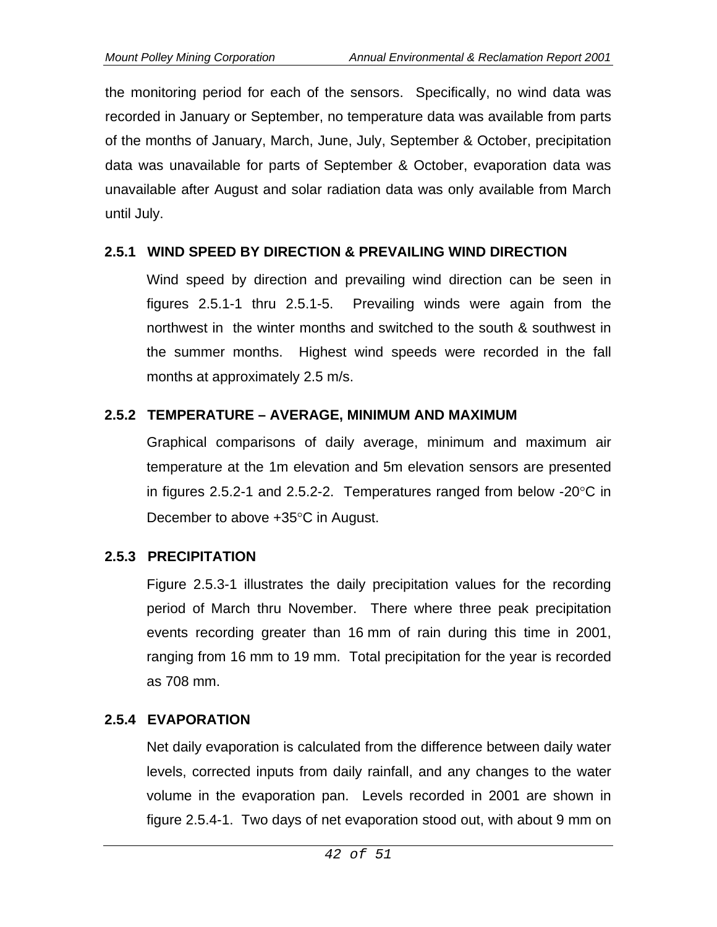the monitoring period for each of the sensors. Specifically, no wind data was recorded in January or September, no temperature data was available from parts of the months of January, March, June, July, September & October, precipitation data was unavailable for parts of September & October, evaporation data was unavailable after August and solar radiation data was only available from March until July.

### **2.5.1 WIND SPEED BY DIRECTION & PREVAILING WIND DIRECTION**

Wind speed by direction and prevailing wind direction can be seen in figures 2.5.1-1 thru 2.5.1-5. Prevailing winds were again from the northwest in the winter months and switched to the south & southwest in the summer months. Highest wind speeds were recorded in the fall months at approximately 2.5 m/s.

# **2.5.2 TEMPERATURE – AVERAGE, MINIMUM AND MAXIMUM**

Graphical comparisons of daily average, minimum and maximum air temperature at the 1m elevation and 5m elevation sensors are presented in figures 2.5.2-1 and 2.5.2-2. Temperatures ranged from below  $-20^{\circ}$ C in December to above  $+35^{\circ}$ C in August.

# **2.5.3 PRECIPITATION**

Figure 2.5.3-1 illustrates the daily precipitation values for the recording period of March thru November. There where three peak precipitation events recording greater than 16 mm of rain during this time in 2001, ranging from 16 mm to 19 mm. Total precipitation for the year is recorded as 708 mm.

# **2.5.4 EVAPORATION**

Net daily evaporation is calculated from the difference between daily water levels, corrected inputs from daily rainfall, and any changes to the water volume in the evaporation pan. Levels recorded in 2001 are shown in figure 2.5.4-1. Two days of net evaporation stood out, with about 9 mm on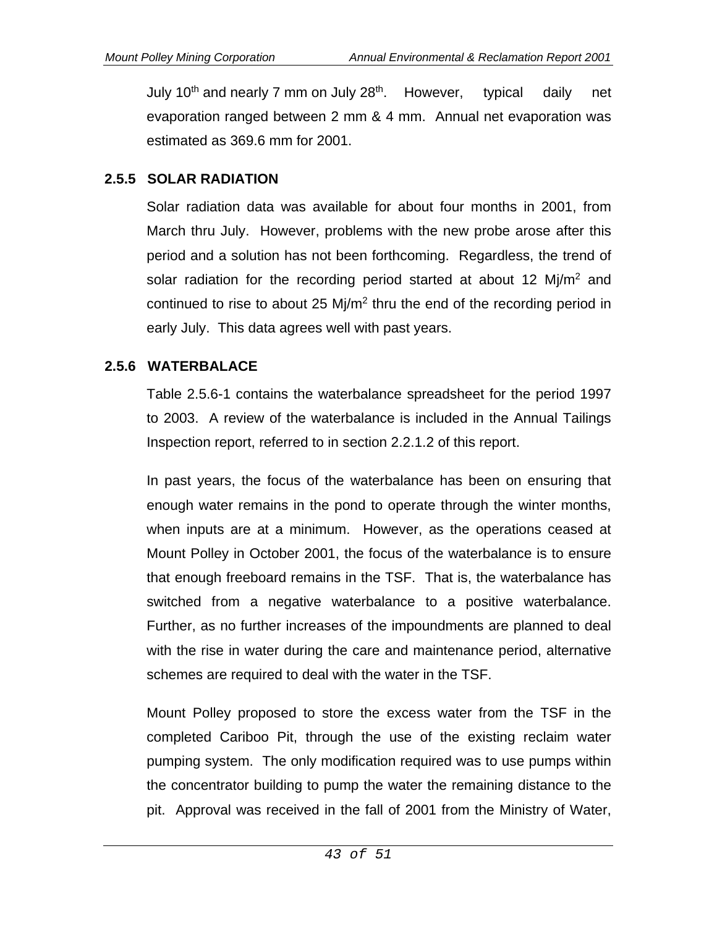July 10<sup>th</sup> and nearly 7 mm on July 28<sup>th</sup>. However, typical daily net evaporation ranged between 2 mm & 4 mm. Annual net evaporation was estimated as 369.6 mm for 2001.

# **2.5.5 SOLAR RADIATION**

Solar radiation data was available for about four months in 2001, from March thru July. However, problems with the new probe arose after this period and a solution has not been forthcoming. Regardless, the trend of solar radiation for the recording period started at about 12  $Mj/m<sup>2</sup>$  and continued to rise to about 25  $M<sub>i</sub>/m<sup>2</sup>$  thru the end of the recording period in early July. This data agrees well with past years.

### **2.5.6 WATERBALACE**

Table 2.5.6-1 contains the waterbalance spreadsheet for the period 1997 to 2003. A review of the waterbalance is included in the Annual Tailings Inspection report, referred to in section 2.2.1.2 of this report.

In past years, the focus of the waterbalance has been on ensuring that enough water remains in the pond to operate through the winter months, when inputs are at a minimum. However, as the operations ceased at Mount Polley in October 2001, the focus of the waterbalance is to ensure that enough freeboard remains in the TSF. That is, the waterbalance has switched from a negative waterbalance to a positive waterbalance. Further, as no further increases of the impoundments are planned to deal with the rise in water during the care and maintenance period, alternative schemes are required to deal with the water in the TSF.

Mount Polley proposed to store the excess water from the TSF in the completed Cariboo Pit, through the use of the existing reclaim water pumping system. The only modification required was to use pumps within the concentrator building to pump the water the remaining distance to the pit. Approval was received in the fall of 2001 from the Ministry of Water,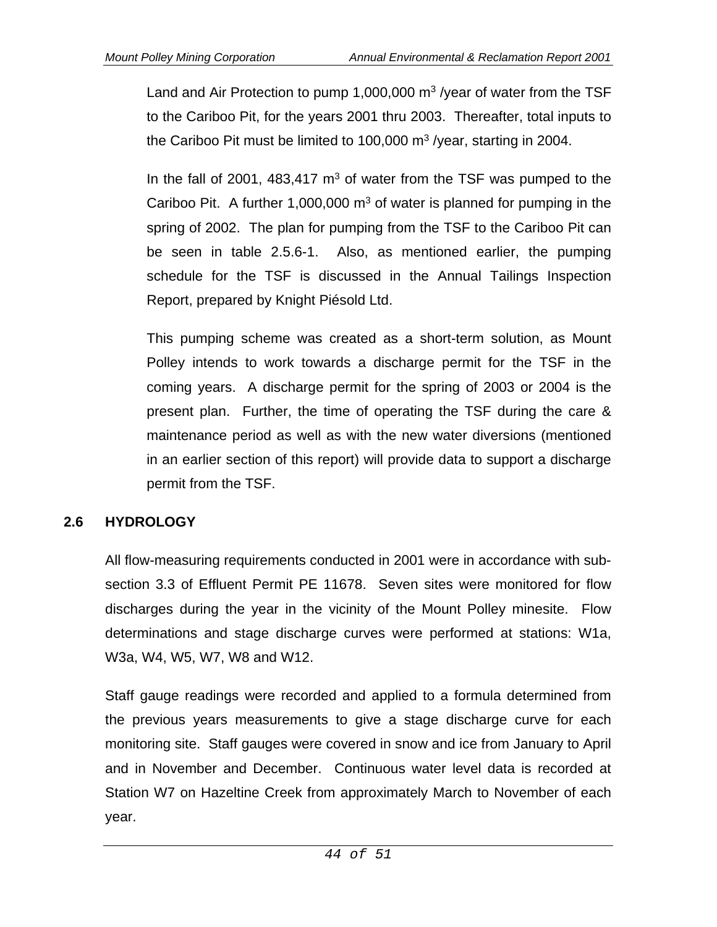Land and Air Protection to pump 1,000,000  $\text{m}^3$  /year of water from the TSF to the Cariboo Pit, for the years 2001 thru 2003. Thereafter, total inputs to the Cariboo Pit must be limited to 100,000  $\mathrm{m}^3$  /year, starting in 2004.

In the fall of 2001, 483,417  $m<sup>3</sup>$  of water from the TSF was pumped to the Cariboo Pit. A further 1,000,000  $m<sup>3</sup>$  of water is planned for pumping in the spring of 2002. The plan for pumping from the TSF to the Cariboo Pit can be seen in table 2.5.6-1. Also, as mentioned earlier, the pumping schedule for the TSF is discussed in the Annual Tailings Inspection Report, prepared by Knight Piésold Ltd.

This pumping scheme was created as a short-term solution, as Mount Polley intends to work towards a discharge permit for the TSF in the coming years. A discharge permit for the spring of 2003 or 2004 is the present plan. Further, the time of operating the TSF during the care & maintenance period as well as with the new water diversions (mentioned in an earlier section of this report) will provide data to support a discharge permit from the TSF.

# **2.6 HYDROLOGY**

All flow-measuring requirements conducted in 2001 were in accordance with subsection 3.3 of Effluent Permit PE 11678. Seven sites were monitored for flow discharges during the year in the vicinity of the Mount Polley minesite. Flow determinations and stage discharge curves were performed at stations: W1a, W3a, W4, W5, W7, W8 and W12.

Staff gauge readings were recorded and applied to a formula determined from the previous years measurements to give a stage discharge curve for each monitoring site. Staff gauges were covered in snow and ice from January to April and in November and December. Continuous water level data is recorded at Station W7 on Hazeltine Creek from approximately March to November of each year.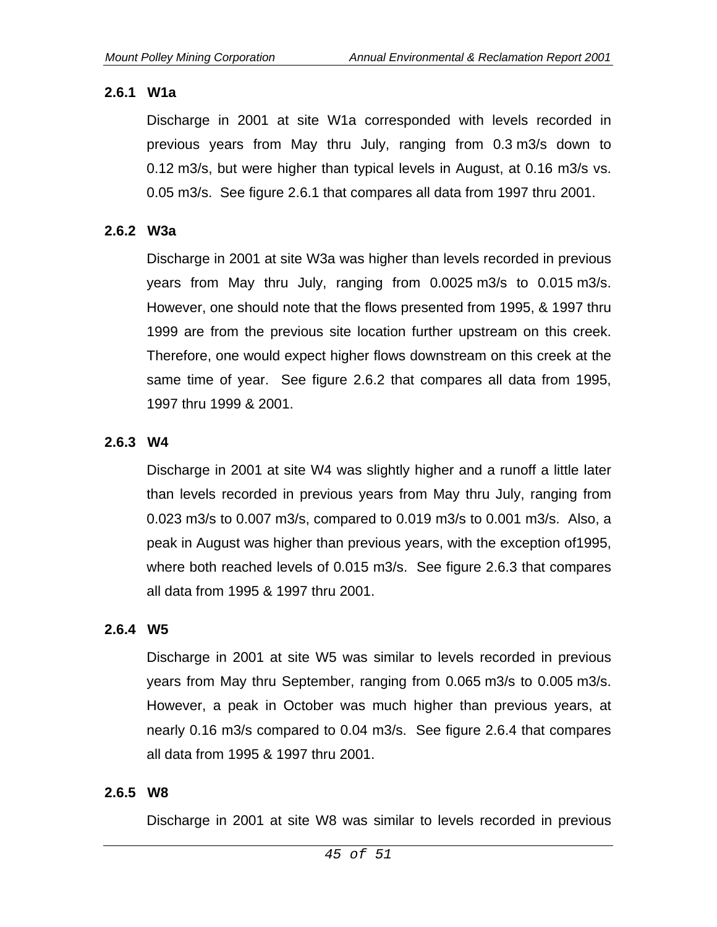#### **2.6.1 W1a**

Discharge in 2001 at site W1a corresponded with levels recorded in previous years from May thru July, ranging from 0.3 m3/s down to 0.12 m3/s, but were higher than typical levels in August, at 0.16 m3/s vs. 0.05 m3/s. See figure 2.6.1 that compares all data from 1997 thru 2001.

#### **2.6.2 W3a**

Discharge in 2001 at site W3a was higher than levels recorded in previous years from May thru July, ranging from 0.0025 m3/s to 0.015 m3/s. However, one should note that the flows presented from 1995, & 1997 thru 1999 are from the previous site location further upstream on this creek. Therefore, one would expect higher flows downstream on this creek at the same time of year. See figure 2.6.2 that compares all data from 1995, 1997 thru 1999 & 2001.

#### **2.6.3 W4**

Discharge in 2001 at site W4 was slightly higher and a runoff a little later than levels recorded in previous years from May thru July, ranging from 0.023 m3/s to 0.007 m3/s, compared to 0.019 m3/s to 0.001 m3/s. Also, a peak in August was higher than previous years, with the exception of1995, where both reached levels of 0.015 m3/s. See figure 2.6.3 that compares all data from 1995 & 1997 thru 2001.

#### **2.6.4 W5**

Discharge in 2001 at site W5 was similar to levels recorded in previous years from May thru September, ranging from 0.065 m3/s to 0.005 m3/s. However, a peak in October was much higher than previous years, at nearly 0.16 m3/s compared to 0.04 m3/s. See figure 2.6.4 that compares all data from 1995 & 1997 thru 2001.

#### **2.6.5 W8**

Discharge in 2001 at site W8 was similar to levels recorded in previous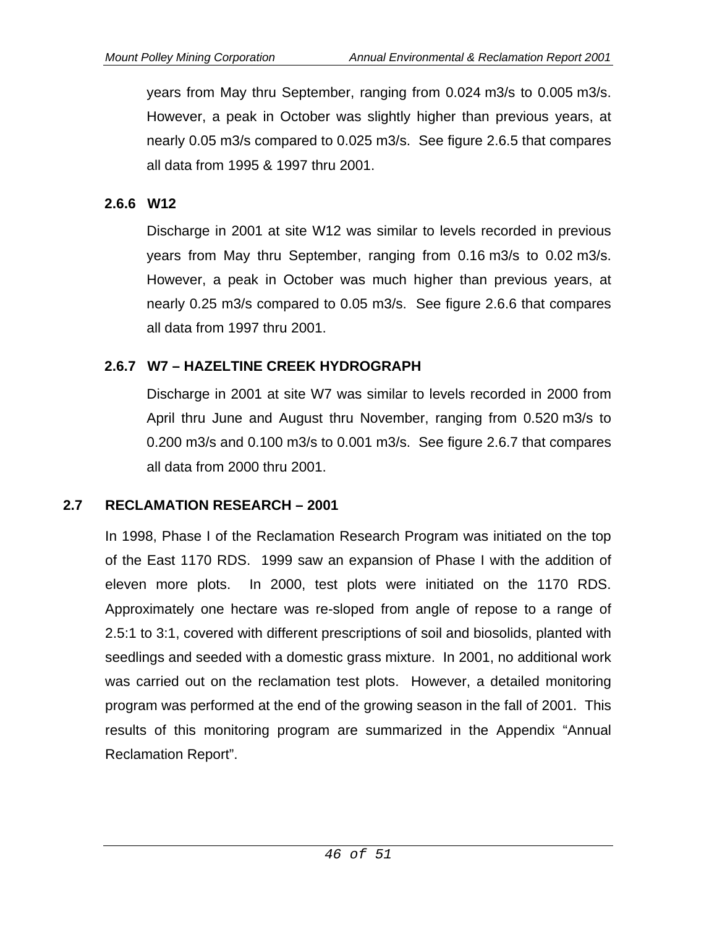years from May thru September, ranging from 0.024 m3/s to 0.005 m3/s. However, a peak in October was slightly higher than previous years, at nearly 0.05 m3/s compared to 0.025 m3/s. See figure 2.6.5 that compares all data from 1995 & 1997 thru 2001.

### **2.6.6 W12**

Discharge in 2001 at site W12 was similar to levels recorded in previous years from May thru September, ranging from 0.16 m3/s to 0.02 m3/s. However, a peak in October was much higher than previous years, at nearly 0.25 m3/s compared to 0.05 m3/s. See figure 2.6.6 that compares all data from 1997 thru 2001.

# **2.6.7 W7 – HAZELTINE CREEK HYDROGRAPH**

Discharge in 2001 at site W7 was similar to levels recorded in 2000 from April thru June and August thru November, ranging from 0.520 m3/s to 0.200 m3/s and 0.100 m3/s to 0.001 m3/s. See figure 2.6.7 that compares all data from 2000 thru 2001.

### **2.7 RECLAMATION RESEARCH – 2001**

In 1998, Phase I of the Reclamation Research Program was initiated on the top of the East 1170 RDS. 1999 saw an expansion of Phase I with the addition of eleven more plots. In 2000, test plots were initiated on the 1170 RDS. Approximately one hectare was re-sloped from angle of repose to a range of 2.5:1 to 3:1, covered with different prescriptions of soil and biosolids, planted with seedlings and seeded with a domestic grass mixture. In 2001, no additional work was carried out on the reclamation test plots. However, a detailed monitoring program was performed at the end of the growing season in the fall of 2001. This results of this monitoring program are summarized in the Appendix "Annual Reclamation Report".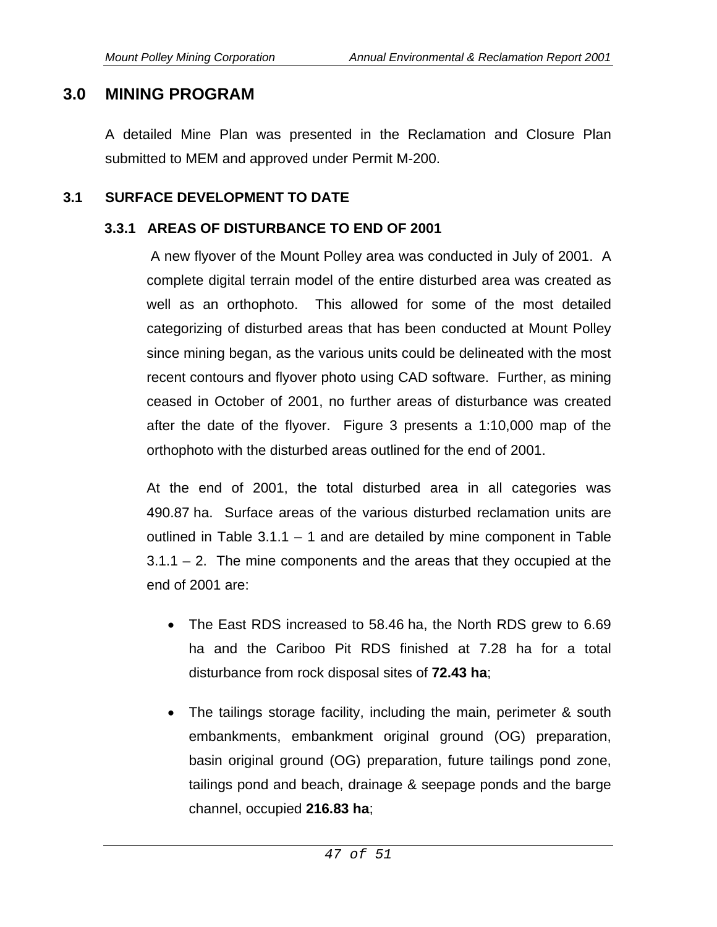## **3.0 MINING PROGRAM**

A detailed Mine Plan was presented in the Reclamation and Closure Plan submitted to MEM and approved under Permit M-200.

#### **3.1 SURFACE DEVELOPMENT TO DATE**

#### **3.3.1 AREAS OF DISTURBANCE TO END OF 2001**

 A new flyover of the Mount Polley area was conducted in July of 2001. A complete digital terrain model of the entire disturbed area was created as well as an orthophoto. This allowed for some of the most detailed categorizing of disturbed areas that has been conducted at Mount Polley since mining began, as the various units could be delineated with the most recent contours and flyover photo using CAD software. Further, as mining ceased in October of 2001, no further areas of disturbance was created after the date of the flyover. Figure 3 presents a 1:10,000 map of the orthophoto with the disturbed areas outlined for the end of 2001.

At the end of 2001, the total disturbed area in all categories was 490.87 ha. Surface areas of the various disturbed reclamation units are outlined in Table  $3.1.1 - 1$  and are detailed by mine component in Table  $3.1.1 - 2$ . The mine components and the areas that they occupied at the end of 2001 are:

- The East RDS increased to 58.46 ha, the North RDS grew to 6.69 ha and the Cariboo Pit RDS finished at 7.28 ha for a total disturbance from rock disposal sites of **72.43 ha**;
- The tailings storage facility, including the main, perimeter & south embankments, embankment original ground (OG) preparation, basin original ground (OG) preparation, future tailings pond zone, tailings pond and beach, drainage & seepage ponds and the barge channel, occupied **216.83 ha**;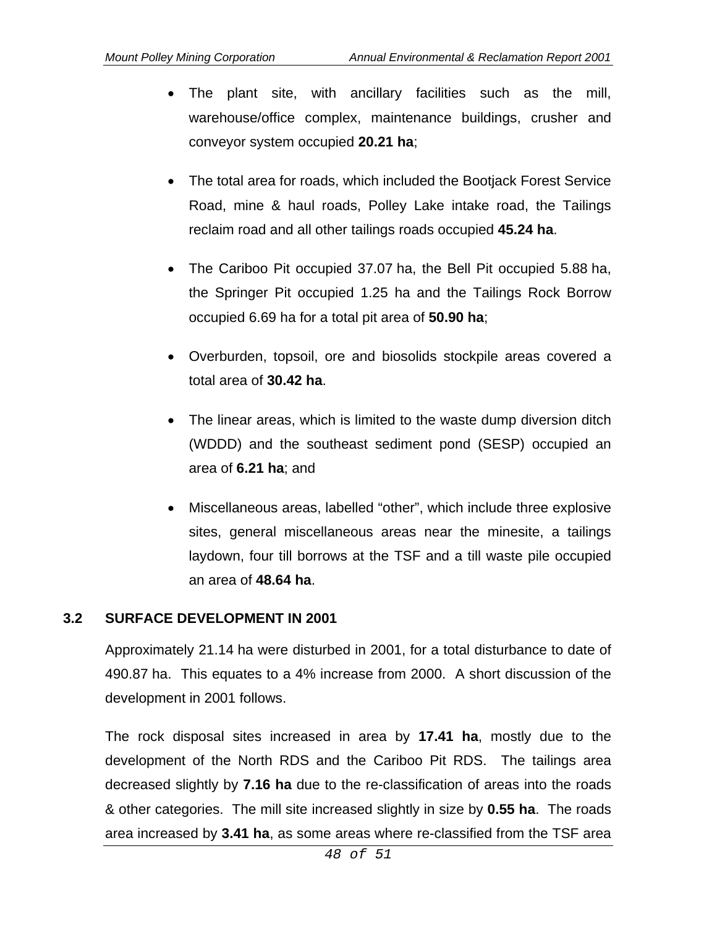- The plant site, with ancillary facilities such as the mill, warehouse/office complex, maintenance buildings, crusher and conveyor system occupied **20.21 ha**;
- The total area for roads, which included the Bootiack Forest Service Road, mine & haul roads, Polley Lake intake road, the Tailings reclaim road and all other tailings roads occupied **45.24 ha**.
- The Cariboo Pit occupied 37.07 ha, the Bell Pit occupied 5.88 ha, the Springer Pit occupied 1.25 ha and the Tailings Rock Borrow occupied 6.69 ha for a total pit area of **50.90 ha**;
- Overburden, topsoil, ore and biosolids stockpile areas covered a total area of **30.42 ha**.
- The linear areas, which is limited to the waste dump diversion ditch (WDDD) and the southeast sediment pond (SESP) occupied an area of **6.21 ha**; and
- Miscellaneous areas, labelled "other", which include three explosive sites, general miscellaneous areas near the minesite, a tailings laydown, four till borrows at the TSF and a till waste pile occupied an area of **48.64 ha**.

# **3.2 SURFACE DEVELOPMENT IN 2001**

Approximately 21.14 ha were disturbed in 2001, for a total disturbance to date of 490.87 ha. This equates to a 4% increase from 2000. A short discussion of the development in 2001 follows.

The rock disposal sites increased in area by **17.41 ha**, mostly due to the development of the North RDS and the Cariboo Pit RDS. The tailings area decreased slightly by **7.16 ha** due to the re-classification of areas into the roads & other categories. The mill site increased slightly in size by **0.55 ha**. The roads area increased by **3.41 ha**, as some areas where re-classified from the TSF area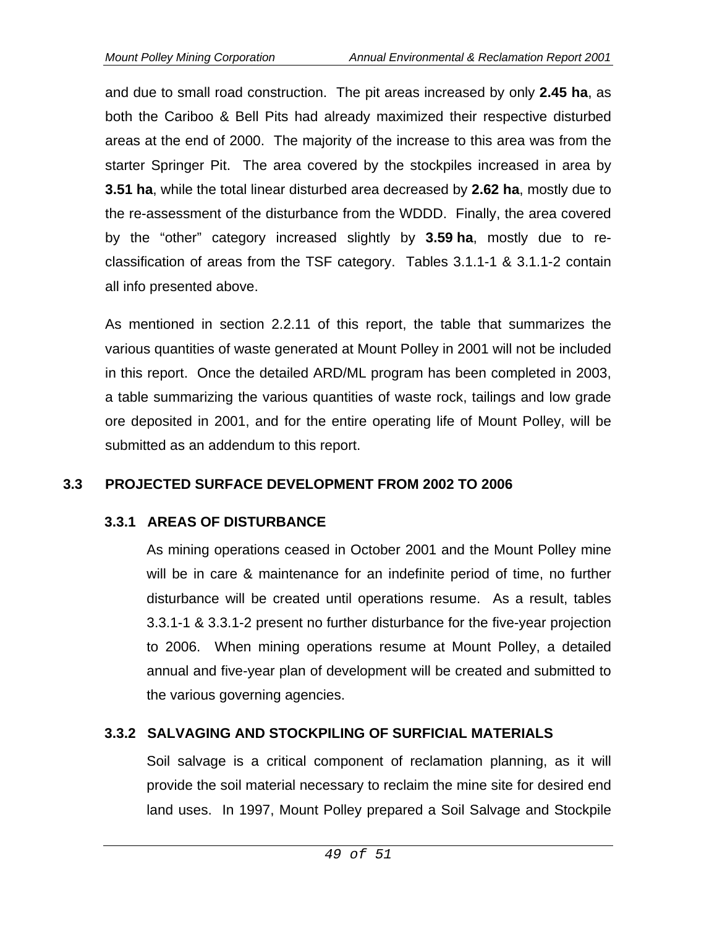and due to small road construction. The pit areas increased by only **2.45 ha**, as both the Cariboo & Bell Pits had already maximized their respective disturbed areas at the end of 2000. The majority of the increase to this area was from the starter Springer Pit. The area covered by the stockpiles increased in area by **3.51 ha**, while the total linear disturbed area decreased by **2.62 ha**, mostly due to the re-assessment of the disturbance from the WDDD. Finally, the area covered by the "other" category increased slightly by **3.59 ha**, mostly due to reclassification of areas from the TSF category. Tables 3.1.1-1 & 3.1.1-2 contain all info presented above.

As mentioned in section 2.2.11 of this report, the table that summarizes the various quantities of waste generated at Mount Polley in 2001 will not be included in this report. Once the detailed ARD/ML program has been completed in 2003, a table summarizing the various quantities of waste rock, tailings and low grade ore deposited in 2001, and for the entire operating life of Mount Polley, will be submitted as an addendum to this report.

### **3.3 PROJECTED SURFACE DEVELOPMENT FROM 2002 TO 2006**

### **3.3.1 AREAS OF DISTURBANCE**

As mining operations ceased in October 2001 and the Mount Polley mine will be in care & maintenance for an indefinite period of time, no further disturbance will be created until operations resume. As a result, tables 3.3.1-1 & 3.3.1-2 present no further disturbance for the five-year projection to 2006. When mining operations resume at Mount Polley, a detailed annual and five-year plan of development will be created and submitted to the various governing agencies.

# **3.3.2 SALVAGING AND STOCKPILING OF SURFICIAL MATERIALS**

Soil salvage is a critical component of reclamation planning, as it will provide the soil material necessary to reclaim the mine site for desired end land uses. In 1997, Mount Polley prepared a Soil Salvage and Stockpile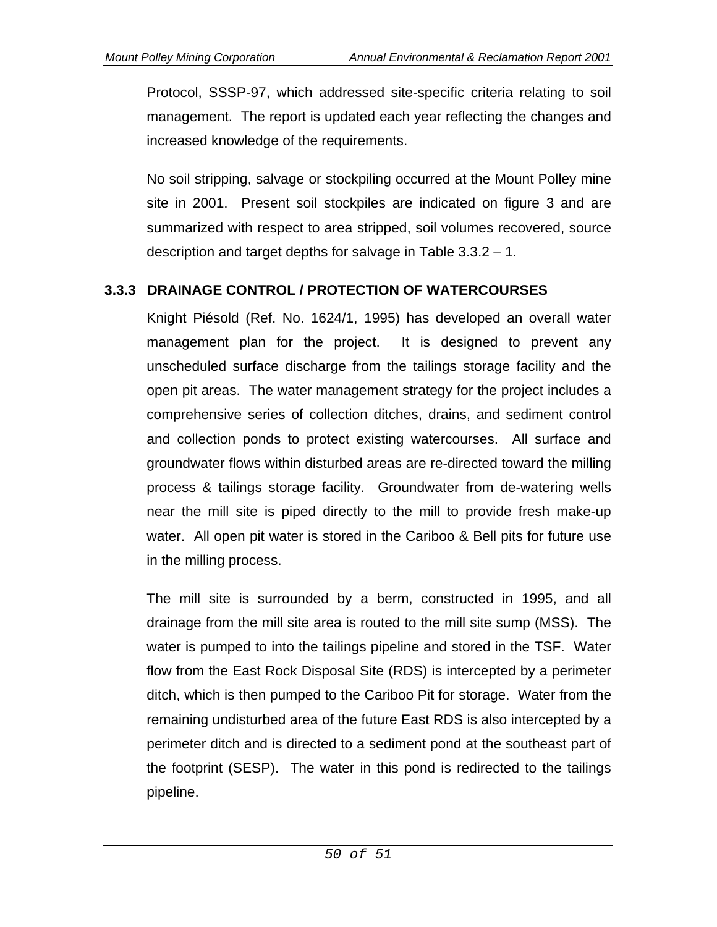Protocol, SSSP-97, which addressed site-specific criteria relating to soil management. The report is updated each year reflecting the changes and increased knowledge of the requirements.

No soil stripping, salvage or stockpiling occurred at the Mount Polley mine site in 2001. Present soil stockpiles are indicated on figure 3 and are summarized with respect to area stripped, soil volumes recovered, source description and target depths for salvage in Table 3.3.2 – 1.

# **3.3.3 DRAINAGE CONTROL / PROTECTION OF WATERCOURSES**

Knight Piésold (Ref. No. 1624/1, 1995) has developed an overall water management plan for the project. It is designed to prevent any unscheduled surface discharge from the tailings storage facility and the open pit areas. The water management strategy for the project includes a comprehensive series of collection ditches, drains, and sediment control and collection ponds to protect existing watercourses. All surface and groundwater flows within disturbed areas are re-directed toward the milling process & tailings storage facility. Groundwater from de-watering wells near the mill site is piped directly to the mill to provide fresh make-up water. All open pit water is stored in the Cariboo & Bell pits for future use in the milling process.

The mill site is surrounded by a berm, constructed in 1995, and all drainage from the mill site area is routed to the mill site sump (MSS). The water is pumped to into the tailings pipeline and stored in the TSF. Water flow from the East Rock Disposal Site (RDS) is intercepted by a perimeter ditch, which is then pumped to the Cariboo Pit for storage. Water from the remaining undisturbed area of the future East RDS is also intercepted by a perimeter ditch and is directed to a sediment pond at the southeast part of the footprint (SESP). The water in this pond is redirected to the tailings pipeline.